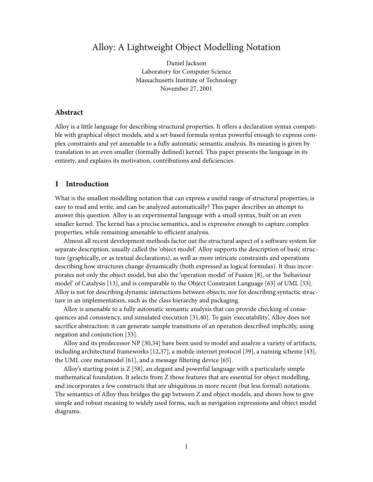# Alloy: A Lightweight Object Modelling Notation

Daniel Jackson Laboratory for Computer Science Massachusetts Institute of Technology November 27, 2001

## **Abstract**

Alloy is a little language for describing structural properties. It offers a declaration syntax compatible with graphical object models, and a set-based formula syntax powerful enough to express complex constraints and yet amenable to a fully automatic semantic analysis. Its meaning is given by translation to an even smaller (formally defined) kernel. This paper presents the language in its entirety, and explains its motivation, contributions and deficiencies.

## **1 Introduction**

What is the smallest modelling notation that can express a useful range of structural properties, is easy to read and write, and can be analyzed automatically? This paper describes an attempt to answer this question. Alloy is an experimental language with a small syntax, built on an even smaller kernel. The kernel has a precise semantics, and is expressive enough to capture complex properties, while remaining amenable to efficient analysis.

Almost all recent development methods factor out the structural aspect of a software system for separate description, usually called the 'object model'. Alloy supports the description of basic structure (graphically, or as textual declarations), as well as more intricate constraints and operations describing how structures change dynamically (both expressed as logical formulas). It thus incorporates not only the object model, but also the 'operation model' of Fusion [8], or the 'behaviour model' of Catalysis [\[13\]](#page-27-0), and is comparable to the Object Constraint Language [[63](#page-30-0)] of UML [[53\]](#page-30-1). Alloy is not for describing dynamic interactions between objects, nor for describing syntactic structure in an implementation, such as the class hierarchy and packaging.

Alloy is amenable to a fully automatic semantic analysis that can provide checking of consequences and consistency, and simulated execution [\[31,](#page-28-0)40]. To gain 'executability', Alloy does not sacrifice abstraction: it can generate sample transitions of an operation described implicitly, using negation and conjunction [[33\]](#page-29-0).

Alloy and its predecessor NP [[30](#page-28-1)[,34](#page-29-1)] have been used to model and analyze a variety of artifacts, including architectural frameworks [12,37], a mobile internet protocol [\[39](#page-29-2)], a naming scheme [43], the UML core metamodel [61], and a message filtering device [[65](#page-30-3)].

Alloy's starting point is  $Z$  [\[58\]](#page-30-2), an elegant and powerful language with a particularly simple mathematical foundation. It selects from Z those features that are essential for object modelling, and incorporates a few constructs that are ubiquitous in more recent (but less formal) notations. The semantics of Alloy thus bridges the gap between Z and object models, and shows how to give simple and robust meaning to widely used forms, such as navigation expressions and object model diagrams.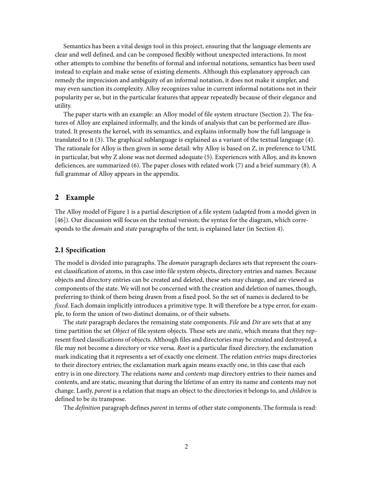Semantics has been a vital design tool in this project, ensuring that the language elements are clear and well defined, and can be composed flexibly without unexpected interactions. In most other attempts to combine the benefits of formal and informal notations, semantics has been used instead to explain and make sense of existing elements. Although this explanatory approach can remedy the imprecision and ambiguity of an informal notation, it does not make it simpler, and may even sanction its complexity. Alloy recognizes value in current informal notations not in their popularity per se, but in the particular features that appear repeatedly because of their elegance and utility.

The paper starts with an example: an Alloy model of file system structure (Section [2](#page-1-0)). The features of Alloy are explained informally, and the kinds of analysis that can be performed are illustrated. It presents the kernel, with its semantics, and explains informally how the full language is translated to it ([3](#page-6-0)). The graphical sublanguage is explained as a variant of the textual language [\(4](#page-12-0)). The rationale for Alloy is then given in some detail: why Alloy is based on Z, in preference to UML in particular, but why Z alone was not deemed adequate [\(5](#page-14-0)). Experiences with Alloy, and its known deficiences, are summarized [\(6\)](#page-19-0). The paper closes with related work [\(7\)](#page-22-0) and a brief summary [\(8\)](#page-26-0). A full grammar of Alloy appears in the appendix.

## <span id="page-1-0"></span>**2 Example**

The Alloy model of Figure 1 is a partial description of a file system (adapted from a model given in [[46](#page-29-3)]). Our discussion will focus on the textual version; the syntax for the diagram, which corresponds to the *domain* and *state* paragraphs of the text, is explained later (in Section [4](#page-12-0)).

## **2.1 Specification**

The model is divided into paragraphs. The *domain* paragraph declares sets that represent the coarsest classification of atoms, in this case into file system objects, directory entries and names. Because objects and directory entries can be created and deleted, these sets may change, and are viewed as components of the state. We will not be concerned with the creation and deletion of names, though, preferring to think of them being drawn from a fixed pool. So the set of names is declared to be *fixed*. Each domain implicitly introduces a primitive type. It will therefore be a type error, for example, to form the union of two distinct domains, or of their subsets.

The *state* paragraph declares the remaining state components. *File* and *Dir* are sets that at any time partition the set *Object* of file system objects. These sets are *static*, which means that they represent fixed classifications of objects. Although files and directories may be created and destroyed, a file may not become a directory or vice versa. *Root* is a particular fixed directory, the exclamation mark indicating that it represents a set of exactly one element. The relation *entries* maps directories to their directory entries; the exclamation mark again means exactly one, in this case that each entry is in one directory. The relations *name* and *contents* map directory entries to their names and contents, and are static, meaning that during the lifetime of an entry its name and contents may not change. Lastly, *parent* is a relation that maps an object to the directories it belongs to, and *children* is defined to be its transpose.

The *definition* paragraph defines *parent* in terms of other state components. The formula is read: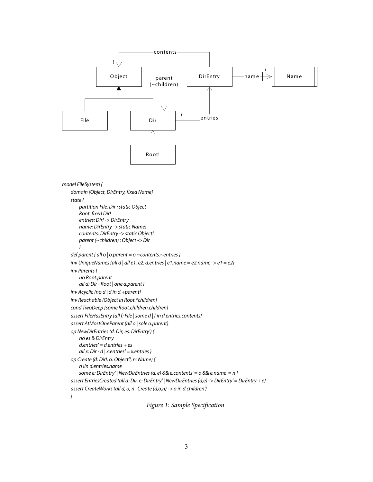

*assert CreateWorks {all d, o, n | Create (d,o,n) -> o in d.children'}*

*}*

*Figure 1: Sample Specification*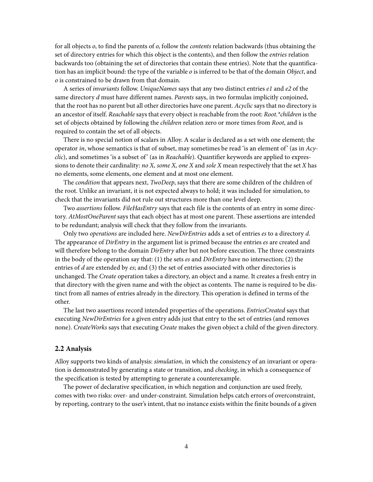for all objects *o*, to find the parents of *o*, follow the *contents* relation backwards (thus obtaining the set of directory entries for which this object is the contents), and then follow the *entries* relation backwards too (obtaining the set of directories that contain these entries). Note that the quantification has an implicit bound: the type of the variable *o* is inferred to be that of the domain *Object*, and *o* is constrained to be drawn from that domain.

A series of *invariants* follow. *UniqueNames* says that any two distinct entries *e1* and *e2* of the same directory *d* must have different names. *Parents* says, in two formulas implicitly conjoined, that the root has no parent but all other directories have one parent. *Acyclic* says that no directory is an ancestor of itself. *Reachable* says that every object is reachable from the root: *Root.\*children* is the set of objects obtained by following the *children* relation zero or more times from *Root*, and is required to contain the set of all objects.

There is no special notion of scalars in Alloy. A scalar is declared as a set with one element; the operator *in*, whose semantics is that of subset, may sometimes be read 'is an element of ' (as in *Acyclic*), and sometimes 'is a subset of' (as in *Reachable*). Quantifier keywords are applied to expressions to denote their cardinality: *no X, some X, one X* and *sole X* mean respectively that the set *X* has no elements, some elements, one element and at most one element.

The *condition* that appears next, *TwoDeep*, says that there are some children of the children of the root. Unlike an invariant, it is not expected always to hold; it was included for simulation, to check that the invariants did not rule out structures more than one level deep.

Two *assertions* follow. *FileHasEntry* says that each file is the contents of an entry in some directory. *AtMostOneParent* says that each object has at most one parent. These assertions are intended to be redundant; analysis will check that they follow from the invariants.

Only two *operations* are included here. *NewDirEntries* adds a set of entries *es* to a directory *d*. The appearance of *DirEntry* in the argument list is primed because the entries *es* are created and will therefore belong to the domain *DirEntry* after but not before execution. The three constraints in the body of the operation say that: (1) the sets *es* and *DirEntry* have no intersection; (2) the entries of *d* are extended by *es*; and (3) the set of entries associated with other directories is unchanged. The *Create* operation takes a directory, an object and a name. It creates a fresh entry in that directory with the given name and with the object as contents. The name is required to be distinct from all names of entries already in the directory. This operation is defined in terms of the other.

The last two assertions record intended properties of the operations. *EntriesCreated* says that executing *NewDirEntries* for a given entry adds just that entry to the set of entries (and removes none). *CreateWorks* says that executing *Create* makes the given object a child of the given directory.

#### **2.2 Analysis**

Alloy supports two kinds of analysis: *simulation*, in which the consistency of an invariant or operation is demonstrated by generating a state or transition, and *checking*, in which a consequence of the specification is tested by attempting to generate a counterexample.

The power of declarative specification, in which negation and conjunction are used freely, comes with two risks: over- and under-constraint. Simulation helps catch errors of overconstraint, by reporting, contrary to the user's intent, that no instance exists within the finite bounds of a given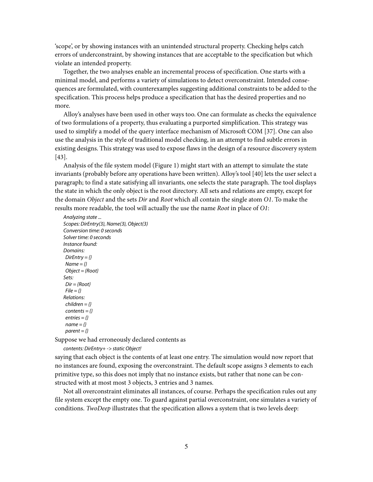'scope', or by showing instances with an unintended structural property. Checking helps catch errors of underconstraint, by showing instances that are acceptable to the specification but which violate an intended property.

Together, the two analyses enable an incremental process of specification. One starts with a minimal model, and performs a variety of simulations to detect overconstraint. Intended consequences are formulated, with counterexamples suggesting additional constraints to be added to the specification. This process helps produce a specification that has the desired properties and no more.

Alloy's analyses have been used in other ways too. One can formulate as checks the equivalence of two formulations of a property, thus evaluating a purported simplification. This strategy was used to simplify a model of the query interface mechanism of Microsoft COM [37]. One can also use the analysis in the style of traditional model checking, in an attempt to find subtle errors in existing designs. This strategy was used to expose flaws in the design of a resource discovery system [43].

Analysis of the file system model (Figure 1) might start with an attempt to simulate the state invariants (probably before any operations have been written). Alloy's tool [40] lets the user select a paragraph; to find a state satisfying all invariants, one selects the state paragraph. The tool displays the state in which the only object is the root directory. All sets and relations are empty, except for the domain *Object* and the sets *Dir* and *Root* which all contain the single atom *O1*. To make the results more readable, the tool will actually the use the name *Root* in place of *O1*:

```
Analyzing state ...
Scopes: DirEntry(3), Name(3), Object(3)
Conversion time: 0 seconds
Solver time: 0 seconds
Instance found:
Domains:
 DirEntry = {}
 Name = {}
 Object = {Root}
Sets:
 Dir = {Root}
 File = {}
Relations:
 children = {}
 contents = {}
 entries = {}
 name = {}
 parent = {}
```
Suppose we had erroneously declared contents as

*contents: DirEntry+ -> static Object!*

saying that each object is the contents of at least one entry. The simulation would now report that no instances are found, exposing the overconstraint. The default scope assigns 3 elements to each primitive type, so this does not imply that no instance exists, but rather that none can be constructed with at most most 3 objects, 3 entries and 3 names.

Not all overconstraint eliminates all instances, of course. Perhaps the specification rules out any file system except the empty one. To guard against partial overconstraint, one simulates a variety of conditions. *TwoDeep* illustrates that the specification allows a system that is two levels deep: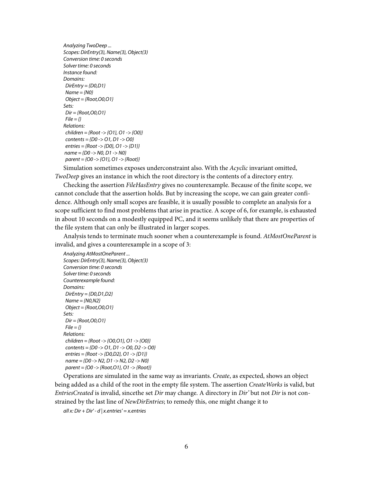```
Analyzing TwoDeep ...
Scopes: DirEntry(3), Name(3), Object(3)
Conversion time: 0 seconds
Solver time: 0 seconds
Instance found:
Domains:
 DirEntry = {D0,D1}
 Name = {N0}
 Object = {Root,O0,O1}
Sets:
 Dir = {Root,O0,O1}
 File = {}
Relations:
 children = {Root -> {O1}, O1 -> {O0}}
 contents = {D0 -> O1, D1 -> O0}
 entries = {Root -> {D0}, O1 -> {D1}}
 name = {D0 -> N0, D1 -> N0}
 parent = {O0 -> {O1}, O1 -> {Root}}
```
Simulation sometimes exposes underconstraint also. With the *Acyclic* invariant omitted, *TwoDeep* gives an instance in which the root directory is the contents of a directory entry.

Checking the assertion *FileHasEntry* gives no counterexample. Because of the finite scope, we cannot conclude that the assertion holds. But by increasing the scope, we can gain greater confidence. Although only small scopes are feasible, it is usually possible to complete an analysis for a scope sufficient to find most problems that arise in practice. A scope of 6, for example, is exhausted in about 10 seconds on a modestly equipped PC, and it seems unlikely that there are properties of the file system that can only be illustrated in larger scopes.

Analysis tends to terminate much sooner when a counterexample is found. *AtMostOneParent* is invalid, and gives a counterexample in a scope of 3:

```
Analyzing AtMostOneParent ...
Scopes: DirEntry(3), Name(3), Object(3)
Conversion time: 0 seconds
Solver time: 0 seconds
Counterexample found:
Domains:
 DirEntry = {D0,D1,D2}
 Name = {N0,N2}
 Object = {Root,O0,O1}
Sets:
 Dir = {Root,O0,O1}
 File = {}
Relations:
 children = {Root -> {O0,O1}, O1 -> {O0}}
 contents = {D0 -> O1, D1 -> O0, D2 -> O0}
 entries = {Root -> {D0,D2}, O1 -> {D1}}
 name = {D0 -> N2, D1 -> N2, D2 -> N0}
 parent = {O0 -> {Root,O1}, O1 -> {Root}}
```
Operations are simulated in the same way as invariants. *Create*, as expected, shows an object being added as a child of the root in the empty file system. The assertion *CreateWorks* is valid, but *EntriesCreated* is invalid, sincethe set *Dir* may change. A directory in *Dir'* but not *Dir* is not constrained by the last line of *NewDirEntries*; to remedy this, one might change it to

*all x: Dir + Dir' - d | x.entries' = x.entries*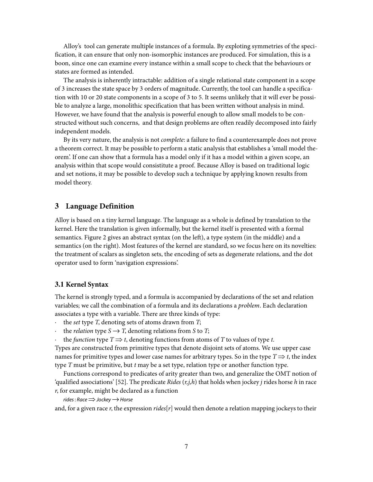Alloy's tool can generate multiple instances of a formula. By exploting symmetries of the specification, it can ensure that only non-isomorphic instances are produced. For simulation, this is a boon, since one can examine every instance within a small scope to check that the behaviours or states are formed as intended.

The analysis is inherently intractable: addition of a single relational state component in a scope of 3 increases the state space by 3 orders of magnitude. Currently, the tool can handle a specification with 10 or 20 state components in a scope of 3 to 5. It seems unlikely that it will ever be possible to analyze a large, monolithic specification that has been written without analysis in mind. However, we have found that the analysis is powerful enough to allow small models to be constructed without such concerns, and that design problems are often readily decomposed into fairly independent models.

By its very nature, the analysis is not *complete*: a failure to find a counterexample does not prove a theorem correct. It may be possible to perform a static analysis that establishes a 'small model theorem'. If one can show that a formula has a model only if it has a model within a given scope, an analysis within that scope would consistitute a proof. Because Alloy is based on traditional logic and set notions, it may be possible to develop such a technique by applying known results from model theory.

## <span id="page-6-0"></span>**3 Language Definition**

Alloy is based on a tiny kernel language. The language as a whole is defined by translation to the kernel. Here the translation is given informally, but the kernel itself is presented with a formal semantics. Figure 2 gives an abstract syntax (on the left), a type system (in the middle) and a semantics (on the right). Most features of the kernel are standard, so we focus here on its novelties: the treatment of scalars as singleton sets, the encoding of sets as degenerate relations, and the dot operator used to form 'navigation expressions'.

## <span id="page-6-1"></span>**3.1 Kernel Syntax**

The kernel is strongly typed, and a formula is accompanied by declarations of the set and relation variables; we call the combination of a formula and its declarations a *problem*. Each declaration associates a type with a variable. There are three kinds of type:

- · the *set* type *T*, denoting sets of atoms drawn from *T*;
- the *relation* type  $S \rightarrow T$ , denoting relations from *S* to *T*;
- the *function* type  $T \implies t$ , denoting functions from atoms of *T* to values of type *t*.

Types are constructed from primitive types that denote disjoint sets of atoms. We use upper case names for primitive types and lower case names for arbitrary types. So in the type  $T \implies t$ , the index type *T* must be primitive, but *t* may be a set type, relation type or another function type.

Functions correspond to predicates of arity greater than two, and generalize the OMT notion of 'qualified associations' [\[52\]](#page-30-4). The predicate *Rides* (*r,j,h*) that holds when jockey *j* rides horse *h* in race *r*, for example, might be declared as a function

*rides* : *Race* ⇒ *Jockey* → *Horse*

and, for a given race *r*, the expression *rides*[*r*] would then denote a relation mapping jockeys to their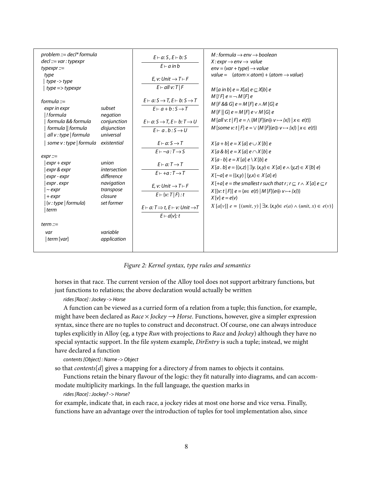| problem ::= decl* formula<br>$decl ::= var : type xpr$<br>$typexpr ::=$<br>type<br>type -> type<br>$type \Rightarrow type \times pr$<br>formula $::=$<br>expr in expr<br>! formula<br>formula && formula<br>formula    formula<br>all v: type   formula<br>some v: type   formula<br>$expr ::=$<br>$expr + expr$<br>expr & expr<br>expr - expr<br>expr.expr<br>$\sim$ expr<br>$+$ expr<br>{v: type   formula}<br>  term | subset<br>negation<br>conjunction<br>disjunction<br>universal<br>existential<br>union<br>intersection<br>difference<br>navigation<br>transpose<br>closure<br>set former | $E \vdash a: S, E \vdash b: S$<br>$E \vdash a$ in b<br>E, v: Unit $\rightarrow$ T $\vdash$ F<br>$E \vdash$ all v: $T \mid F$<br>$E \vdash a: S \rightarrow T, E \vdash b: S \rightarrow T$<br>$E \vdash a + b : S \rightarrow T$<br>$E \vdash a: S \rightarrow T, E \vdash b: T \rightarrow U$<br>$E \vdash a, b: S \rightarrow U$<br>$E \vdash a: S \rightarrow T$<br>$E \vdash \neg a : T \rightarrow S$<br>$E \vdash a: T \rightarrow T$<br>$E \mapsto a : T \rightarrow T$<br>E, v: Unit $\rightarrow$ T $\vdash$ F<br>$E \vdash \{v: T \mid F\} : t$<br>$E \vdash a: T \Longrightarrow t, E \vdash v: Unit \rightarrow T$<br>$E \vdash a[v]: t$ | M: formula $\rightarrow$ env $\rightarrow$ boolean<br>$X:expr \rightarrow env \rightarrow value$<br>$env = (var + type) \rightarrow value$<br>value = $(atom \times atom) + (atom \rightarrow value)$<br>M [a in b] $e = X[a]$ $e \subset X[b]$ e<br>$M[$ ! F] $e = \neg M[F] e$<br>$M$ [F && G] e = M [F] e $\wedge$ M [G] e<br>$M[F \mid G] e = M[F] e \vee M[G] e$<br>M[all v: t F] $e = \wedge$ {M [F]( $e \oplus v \mapsto \{x\}$ )  $x \in e(t)$ }<br>M [some v: t   F] $e = \vee$ {M [F]( $e \oplus v \mapsto \{x\}$ )   $x \in e(t)$ }<br>$X[a + b]$ $e = X[a]$ $e \cup X[b]$ $e$<br>$X[a & b]$ $e = X[a]$ $e \cap X[b]$ $e$<br>$X[a - b] e = X[a] e \ X[b] e$<br>$X[a, b]$ e = {(x,z)   ∃y. (x,y) ∈ $X[a]$ e $\wedge$ (y,z) ∈ $X[b]$ e}<br>$X[\sim a]$ $e = \{(x,y)   (y,x) \in X[a]$ $e\}$<br>$X[+a]$ e = the smallest r such that $r, r \subseteq r \wedge X[a]$ e $\subseteq r$<br>$X[{v:t   F}]$ $e = {x \in e(t)   M[F](e \oplus v \mapsto {x}})}$<br>$X[v]$ $e = e(v)$<br>$X[a[v]]$ $e = \{(unit, v)   \exists x. (x,y) \in e(a) \land (unit, x) \in e(v)\}\$ |
|-------------------------------------------------------------------------------------------------------------------------------------------------------------------------------------------------------------------------------------------------------------------------------------------------------------------------------------------------------------------------------------------------------------------------|-------------------------------------------------------------------------------------------------------------------------------------------------------------------------|------------------------------------------------------------------------------------------------------------------------------------------------------------------------------------------------------------------------------------------------------------------------------------------------------------------------------------------------------------------------------------------------------------------------------------------------------------------------------------------------------------------------------------------------------------------------------------------------------------------------------------------------------|------------------------------------------------------------------------------------------------------------------------------------------------------------------------------------------------------------------------------------------------------------------------------------------------------------------------------------------------------------------------------------------------------------------------------------------------------------------------------------------------------------------------------------------------------------------------------------------------------------------------------------------------------------------------------------------------------------------------------------------------------------------------------------------------------------------------------------------------------------------------------------------------------------------------------------------------------------------------------------------------------------------------------------------------------------------------------|
| $term ::=$<br>var<br>  term [var]                                                                                                                                                                                                                                                                                                                                                                                       | variable<br>application                                                                                                                                                 |                                                                                                                                                                                                                                                                                                                                                                                                                                                                                                                                                                                                                                                      |                                                                                                                                                                                                                                                                                                                                                                                                                                                                                                                                                                                                                                                                                                                                                                                                                                                                                                                                                                                                                                                                              |

*Figure 2: Kernel syntax, type rules and semantics*

horses in that race. The current version of the Alloy tool does not support arbitrary functions, but just functions to relations; the above declaration would actually be written

## *rides [Race] : Jockey -> Horse*

A function can be viewed as a curried form of a relation from a tuple; this function, for example, might have been declared as *Race* × *Jockey* → *Horse*. Functions, however, give a simpler expression syntax, since there are no tuples to construct and deconstruct. Of course, one can always introduce tuples explicitly in Alloy (eg, a type *Run* with projections to *Race* and *Jockey*) although they have no special syntactic support. In the file system example, *DirEntry* is such a tuple; instead, we might have declared a function

```
contents [Object] : Name -> Object
```
so that *contents*[ $d$ ] gives a mapping for a directory  $d$  from names to objects it contains.

Functions retain the binary flavour of the logic: they fit naturally into diagrams, and can accommodate multiplicity markings. In the full language, the question marks in

```
rides [Race] : Jockey? -> Horse?
```
for example, indicate that, in each race, a jockey rides at most one horse and vice versa. Finally, functions have an advantage over the introduction of tuples for tool implementation also, since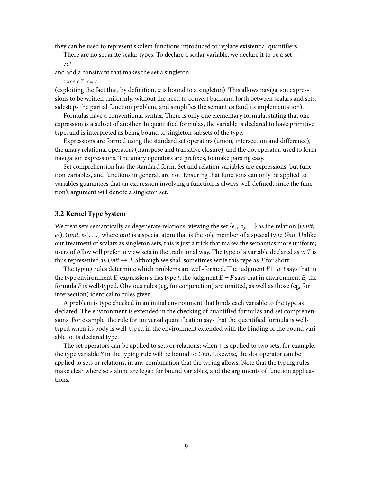they can be used to represent skolem functions introduced to replace existential quantifiers.

There are no separate scalar types. To declare a scalar variable, we declare it to be a set

*v* : *T*

and add a constraint that makes the set a singleton:

*some x*: *T | x = v*

(exploiting the fact that, by definition, *x* is bound to a singleton). This allows navigation expressions to be written uniformly, without the need to convert back and forth between scalars and sets, sidesteps the partial function problem, and simplifies the semantics (and its implementation).

Formulas have a conventional syntax. There is only one elementary formula, stating that one expression is a subset of another. In quantified formulas, the variable is declared to have primitive type, and is interpreted as being bound to singleton subsets of the type.

Expressions are formed using the standard set operators (union, intersection and difference), the unary relational operators (transpose and transitive closure), and the dot operator, used to form navigation expressions. The unary operators are prefixes, to make parsing easy.

Set comprehension has the standard form. Set and relation variables are expressions, but function variables, and functions in general, are not. Ensuring that functions can only be applied to variables guarantees that an expression involving a function is always well defined, since the function's argument will denote a singleton set.

## **3.2 Kernel Type System**

We treat sets semantically as degenerate relations, viewing the set  $\{e_1, e_2, ...\}$  as the relation  $\{(unit,$ *e*1), (*unit*, *e*2)*, …*} where *unit* is a special atom that is the sole member of a special type *Unit*. Unlike our treatment of scalars as singleton sets, this is just a trick that makes the semantics more uniform; users of Alloy will prefer to view sets in the traditional way. The type of a variable declared as *v: T* is thus represented as  $Unit \rightarrow T$ , although we shall sometimes write this type as *T* for short.

The typing rules determine which problems are well-formed. The judgment  $E \vdash a$ : *t* says that in the type environment *E*, expression *a* has type *t*; the judgment  $E \vdash F$  says that in environment *E*, the formula *F* is well-typed. Obvious rules (eg, for conjunction) are omitted, as well as those (eg, for intersection) identical to rules given.

A problem is type checked in an initial environment that binds each variable to the type as declared. The environment is extended in the checking of quantified formulas and set comprehensions. For example, the rule for universal quantification says that the quantified formula is welltyped when its body is well-typed in the environment extended with the binding of the bound variable to its declared type.

The set operators can be applied to sets or relations; when + is applied to two sets, for example, the type variable *S* in the typing rule will be bound to *Unit*. Likewise, the dot operator can be applied to sets or relations, in any combination that the typing allows. Note that the typing rules make clear where sets alone are legal: for bound variables, and the arguments of function applications.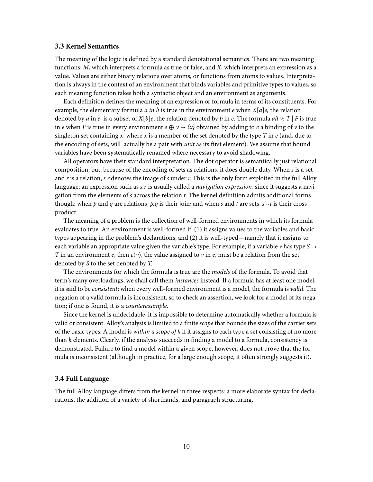## **3.3 Kernel Semantics**

The meaning of the logic is defined by a standard denotational semantics. There are two meaning functions: *M*, which interprets a formula as true or false, and *X*, which interprets an expression as a value. Values are either binary relations over atoms, or functions from atoms to values. Interpretation is always in the context of an environment that binds variables and primitive types to values, so each meaning function takes both a syntactic object and an environment as arguments.

Each definition defines the meaning of an expression or formula in terms of its constituents. For example, the elementary formula *a in b* is true in the environment *e* when *X*[*a*]*e,* the relation denoted by *a* in *e,* is a subset of *X*[*b*]*e*, the relation denoted by *b* in *e*. The formula *all v*: *T | F* is true in *e* when *F* is true in every environment  $e \oplus \nu \mapsto \{x\}$  obtained by adding to *e* a binding of  $\nu$  to the singleton set containing *x*, where *x* is a member of the set denoted by the type *T* in *e* (and, due to the encoding of sets, will actually be a pair with *unit* as its first element). We assume that bound variables have been systematically renamed where necessary to avoid shadowing.

All operators have their standard interpretation. The dot operator is semantically just relational composition, but, because of the encoding of sets as relations, it does double duty. When *s* is a set and *r* is a relation, *s.r* denotes the image of *s* under *r*. This is the only form exploited in the full Alloy language; an expression such as *s.r* is usually called a *navigation expression*, since it suggests a navigation from the elements of *s* across the relation *r*. The kernel definition admits additional forms though: when *p* and *q* are relations, *p.q* is their join; and when *s* and *t* are sets, *s.~t* is their cross product.

The meaning of a problem is the collection of well-formed environments in which its formula evaluates to true. An environment is well-formed if: (1) it assigns values to the variables and basic types appearing in the problem's declarations, and (2) it is well-typed—namely that it assigns to each variable an appropriate value given the variable's type. For example, if a variable  $\nu$  has type  $S \rightarrow$ *T* in an environment *e*, then  $e(v)$ , the value assigned to *v* in *e*, must be a relation from the set denoted by *S* to the set denoted by *T.*

The environments for which the formula is true are the *models* of the formula. To avoid that term's many overloadings, we shall call them *instances* instead*.* If a formula has at least one model, it is said to be *consistent*; when every well-formed environment is a model, the formula is *valid*. The negation of a valid formula is inconsistent, so to check an assertion, we look for a model of its negation; if one is found, it is a *counterexample*.

Since the kernel is undecidable, it is impossible to determine automatically whether a formula is valid or consistent. Alloy's analysis is limited to a finite *scope* that bounds the sizes of the carrier sets of the basic types. A model is *within a scope of k* if it assigns to each type a set consisting of no more than *k* elements. Clearly, if the analysis succeeds in finding a model to a formula, consistency is demonstrated. Failure to find a model within a given scope, however, does not prove that the formula is inconsistent (although in practice, for a large enough scope, it often strongly suggests it).

## **3.4 Full Language**

The full Alloy language differs from the kernel in three respects: a more elaborate syntax for declarations, the addition of a variety of shorthands, and paragraph structuring.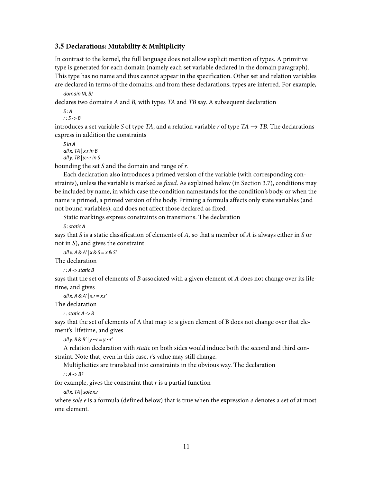## **3.5 Declarations: Mutability & Multiplicity**

In contrast to the kernel, the full language does not allow explicit mention of types. A primitive type is generated for each domain (namely each set variable declared in the domain paragraph). This type has no name and thus cannot appear in the specification. Other set and relation variables are declared in terms of the domains, and from these declarations, types are inferred. For example,

```
domain {A, B}
```
declares two domains *A* and *B*, with types *TA* and *TB* say. A subsequent declaration

*S : A r : S -> B*

introduces a set variable *S* of type *TA*, and a relation variable *r* of type  $TA \rightarrow TB$ . The declarations express in addition the constraints

```
S in A
all x: TA | x.r in B
all y: TB | y.~r in S
```
bounding the set *S* and the domain and range of *r*.

Each declaration also introduces a primed version of the variable (with corresponding constraints), unless the variable is marked as *fixed*. As explained below (in Section 3.7), conditions may be included by name, in which case the condition namestands for the condition's body, or when the name is primed, a primed version of the body. Priming a formula affects only state variables (and not bound variables), and does not affect those declared as fixed.

Static markings express constraints on transitions. The declaration

*S : static A*

says that *S* is a static classification of elements of *A,* so that a member of *A* is always either in *S* or not in *S*), and gives the constraint

*all x: A* & *A' | x* & *S = x* & *S'*

The declaration

*r : A -> static B*

says that the set of elements of *B* associated with a given element of *A* does not change over its lifetime, and gives

*all x: A* & *A' | x.r = x.r'*

The declaration

*r : static A -> B*

says that the set of elements of A that map to a given element of B does not change over that element's lifetime, and gives

*all y: B* & *B' | y.*~*r = y.*~*r'*

A relation declaration with *static* on both sides would induce both the second and third constraint. Note that, even in this case, *r*'s value may still change.

Multiplicities are translated into constraints in the obvious way. The declaration

*r : A -> B?*

for example, gives the constraint that *r* is a partial function

*all x: TA | sole x.r*

where *sole e* is a formula (defined below) that is true when the expression *e* denotes a set of at most one element.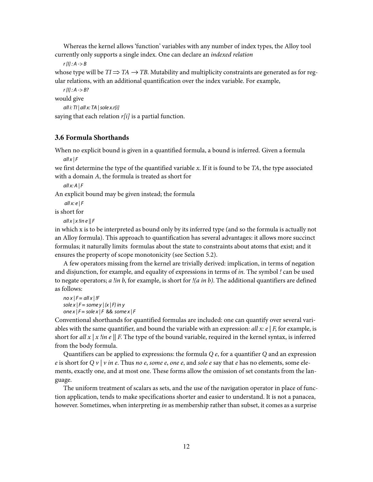Whereas the kernel allows 'function' variables with any number of index types, the Alloy tool currently only supports a single index. One can declare an *indexed relation*

*r [I] : A -> B*

whose type will be  $TI \Rightarrow TA \rightarrow TB$ . Mutability and multiplicity constraints are generated as for regular relations, with an additional quantification over the index variable. For example,

*r [I] : A -> B?*

```
would give
```
*all i: TI | all x: TA | sole x.r[i]*

saying that each relation *r[i]* is a partial function.

## **3.6 Formula Shorthands**

When no explicit bound is given in a quantified formula, a bound is inferred. Given a formula *all x | F*

we first determine the type of the quantified variable *x*. If it is found to be *TA*, the type associated with a domain *A*, the formula is treated as short for

*all x: A | F*

An explicit bound may be given instead; the formula

 *all x: e | F*

is short for

*all x | x !in e || F*

in which x is to be interpreted as bound only by its inferred type (and so the formula is actually not an Alloy formula). This approach to quantification has several advantages: it allows more succinct formulas; it naturally limits formulas about the state to constraints about atoms that exist; and it ensures the property of scope monotonicity (see Section [5.2\)](#page-15-0).

A few operators missing from the kernel are trivially derived: implication, in terms of negation and disjunction, for example, and equality of expressions in terms of *in.* The symbol *!* can be used to negate operators; *a !in b*, for example, is short for *!(a in b)*. The additional quantifiers are defined as follows:

 $n \circ x$   $F = \text{all } x$   $F$  $s$ *ole x*  $|F|$  *f*  $=$  *some y*  $|{x | F}$  *in y one x*  $|F| =$  *sole x*  $|F|$  && *some x*  $|F|$ 

Conventional shorthands for quantified formulas are included: one can quantify over several variables with the same quantifier, and bound the variable with an expression: *all x: e | F*, for example, is short for *all x | x !in e || F*. The type of the bound variable, required in the kernel syntax, is inferred from the body formula.

Quantifiers can be applied to expressions: the formula *Q e*, for a quantifier *Q* and an expression *e* is short for *Q v | v in e*. Thus *no e*, *some e*, *one e*, and *sole e* say that *e* has no elements, some elements, exactly one, and at most one. These forms allow the omission of set constants from the language.

The uniform treatment of scalars as sets, and the use of the navigation operator in place of function application, tends to make specifications shorter and easier to understand. It is not a panacea, however. Sometimes, when interpreting *in* as membership rather than subset, it comes as a surprise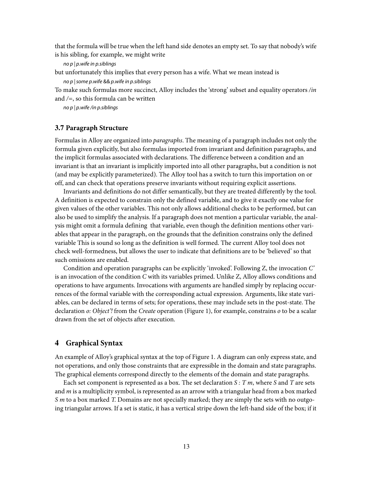that the formula will be true when the left hand side denotes an empty set. To say that nobody's wife is his sibling, for example, we might write

*no p | p.wife in p.siblings*

but unfortunately this implies that every person has a wife. What we mean instead is

*no p | some p.wife* && *p.wife in p.siblings*

To make such formulas more succinct, Alloy includes the 'strong' subset and equality operators */in* and */=*, so this formula can be written

*no p | p.wife /in p.siblings*

#### **3.7 Paragraph Structure**

Formulas in Alloy are organized into *paragraphs*. The meaning of a paragraph includes not only the formula given explicitly, but also formulas imported from invariant and definition paragraphs, and the implicit formulas associated with declarations. The difference between a condition and an invariant is that an invariant is implicitly imported into all other paragraphs, but a condition is not (and may be explicitly parameterized). The Alloy tool has a switch to turn this importation on or off, and can check that operations preserve invariants without requiring explicit assertions.

Invariants and definitions do not differ semantically, but they are treated differently by the tool. A definition is expected to constrain only the defined variable, and to give it exactly one value for given values of the other variables. This not only allows additional checks to be performed, but can also be used to simplify the analysis. If a paragraph does not mention a particular variable, the analysis might omit a formula defining that variable, even though the definition mentions other variables that appear in the paragraph, on the grounds that the definition constrains only the defined variable This is sound so long as the definition is well formed. The current Alloy tool does not check well-formedness, but allows the user to indicate that definitions are to be 'believed' so that such omissions are enabled.

Condition and operation paragraphs can be explicitly 'invoked'. Following Z, the invocation *C'* is an invocation of the condition *C* with its variables primed. Unlike Z, Alloy allows conditions and operations to have arguments. Invocations with arguments are handled simply by replacing occurrences of the formal variable with the corresponding actual expression. Arguments, like state variables, can be declared in terms of sets; for operations, these may include sets in the post-state. The declaration *o: Object'!* from the *Create* operation (Figure 1), for example, constrains *o* to be a scalar drawn from the set of objects after execution.

## <span id="page-12-0"></span>**4 Graphical Syntax**

An example of Alloy's graphical syntax at the top of Figure 1. A diagram can only express state, and not operations, and only those constraints that are expressible in the domain and state paragraphs. The graphical elements correspond directly to the elements of the domain and state paragraphs.

Each set component is represented as a box. The set declaration *S : T m*, where *S* and *T* are sets and *m* is a multiplicity symbol, is represented as an arrow with a triangular head from a box marked *S m* to a box marked *T*. Domains are not specially marked; they are simply the sets with no outgoing triangular arrows. If a set is static, it has a vertical stripe down the left-hand side of the box; if it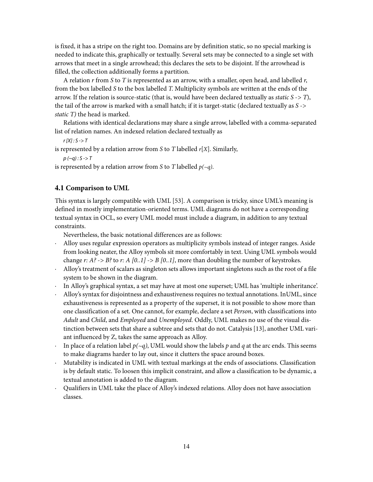is fixed, it has a stripe on the right too. Domains are by definition static, so no special marking is needed to indicate this, graphically or textually. Several sets may be connected to a single set with arrows that meet in a single arrowhead; this declares the sets to be disjoint. If the arrowhead is filled, the collection additionally forms a partition.

A relation *r* from *S* to *T* is represented as an arrow, with a smaller, open head, and labelled *r*, from the box labelled *S* to the box labelled *T*. Multiplicity symbols are written at the ends of the arrow. If the relation is source-static (that is, would have been declared textually as *static S -> T*), the tail of the arrow is marked with a small hatch; if it is target-static (declared textually as *S -> static T)* the head is marked.

Relations with identical declarations may share a single arrow, labelled with a comma-separated list of relation names. An indexed relation declared textually as

*r [X] : S -> T*

is represented by a relation arrow from *S* to *T* labelled *r*[*X*]. Similarly,

*p (~q) : S -> T*

is represented by a relation arrow from *S* to *T* labelled *p(~q)*.

## **4.1 Comparison to UML**

This syntax is largely compatible with UML [[53](#page-30-1)]. A comparison is tricky, since UML's meaning is defined in mostly implementation-oriented terms. UML diagrams do not have a corresponding textual syntax in OCL, so every UML model must include a diagram, in addition to any textual constraints.

Nevertheless, the basic notational differences are as follows:

- · Alloy uses regular expression operators as multiplicity symbols instead of integer ranges. Aside from looking neater, the Alloy symbols sit more comfortably in text. Using UML symbols would change *r: A? -> B?* to *r: A [0..1] -> B [0..1]*, more than doubling the number of keystrokes.
- Alloy's treatment of scalars as singleton sets allows important singletons such as the root of a file system to be shown in the diagram.
- · In Alloy's graphical syntax, a set may have at most one superset; UML has 'multiple inheritance'.
- · Alloy's syntax for disjointness and exhaustiveness requires no textual annotations. InUML, since exhaustiveness is represented as a property of the superset, it is not possible to show more than one classification of a set. One cannot, for example, declare a set *Person*, with classifications into *Adult* and *Child*, and *Employed* and *Unemployed*. Oddly, UML makes no use of the visual distinction between sets that share a subtree and sets that do not. Catalysis [[13](#page-27-0)], another UML variant influenced by Z, takes the same approach as Alloy.
- In place of a relation label  $p(\sim q)$ , UML would show the labels p and q at the arc ends. This seems to make diagrams harder to lay out, since it clutters the space around boxes.
- · Mutability is indicated in UML with textual markings at the ends of associations. Classification is by default static. To loosen this implicit constraint, and allow a classification to be dynamic, a textual annotation is added to the diagram.
- · Qualifiers in UML take the place of Alloy's indexed relations. Alloy does not have association classes.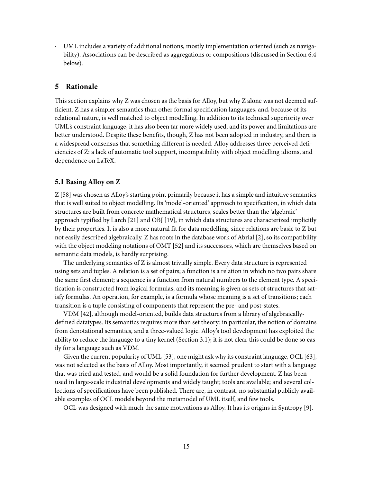UML includes a variety of additional notions, mostly implementation oriented (such as navigability). Associations can be described as aggregations or compositions (discussed in Section [6.4](#page-22-1) below).

## <span id="page-14-0"></span>**5 Rationale**

This section explains why Z was chosen as the basis for Alloy, but why Z alone was not deemed sufficient. Z has a simpler semantics than other formal specification languages, and, because of its relational nature, is well matched to object modelling. In addition to its technical superiority over UML's constraint language, it has also been far more widely used, and its power and limitations are better understood. Despite these benefits, though, Z has not been adopted in industry, and there is a widespread consensus that something different is needed. Alloy addresses three perceived deficiencies of Z: a lack of automatic tool support, incompatibility with object modelling idioms, and dependence on LaTeX.

#### **5.1 Basing Alloy on Z**

Z [[58](#page-30-2)] was chosen as Alloy's starting point primarily because it has a simple and intuitive semantics that is well suited to object modelling. Its 'model-oriented' approach to specification, in which data structures are built from concrete mathematical structures, scales better than the 'algebraic' approach typified by Larch [[21](#page-28-2)] and OBJ [[19](#page-28-3)], in which data structures are characterized implicitly by their properties. It is also a more natural fit for data modelling, since relations are basic to Z but not easily described algebraically. Z has roots in the database work of Abrial [\[2\]](#page-27-1), so its compatibility with the object modeling notations of OMT [\[52\]](#page-30-4) and its successors, which are themselves based on semantic data models, is hardly surprising.

The underlying semantics of Z is almost trivially simple. Every data structure is represented using sets and tuples. A relation is a set of pairs; a function is a relation in which no two pairs share the same first element; a sequence is a function from natural numbers to the element type. A specification is constructed from logical formulas, and its meaning is given as sets of structures that satisfy formulas. An operation, for example, is a formula whose meaning is a set of transitions; each transition is a tuple consisting of components that represent the pre- and post-states.

VDM [[42](#page-29-4)], although model-oriented, builds data structures from a library of algebraicallydefined datatypes. Its semantics requires more than set theory: in particular, the notion of domains from denotational semantics, and a three-valued logic. Alloy's tool development has exploited the ability to reduce the language to a tiny kernel (Section [3.1](#page-6-1)); it is not clear this could be done so easily for a language such as VDM.

Given the current popularity of UML [\[53\]](#page-30-1), one might ask why its constraint language, OCL [\[63\]](#page-30-0), was not selected as the basis of Alloy. Most importantly, it seemed prudent to start with a language that was tried and tested, and would be a solid foundation for further development. Z has been used in large-scale industrial developments and widely taught; tools are available; and several collections of specifications have been published. There are, in contrast, no substantial publicly available examples of OCL models beyond the metamodel of UML itself, and few tools.

OCL was designed with much the same motivations as Alloy. It has its origins in Syntropy [[9](#page-27-2)],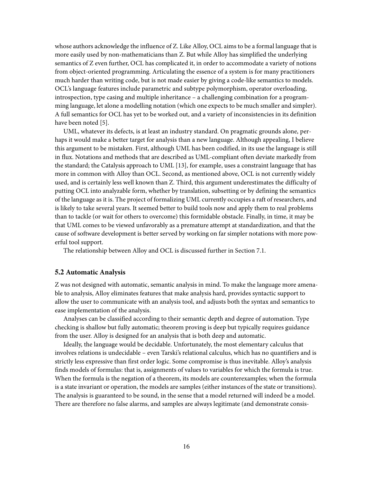whose authors acknowledge the influence of Z. Like Alloy, OCL aims to be a formal language that is more easily used by non-mathematicians than Z. But while Alloy has simplified the underlying semantics of Z even further, OCL has complicated it, in order to accommodate a variety of notions from object-oriented programming. Articulating the essence of a system is for many practitioners much harder than writing code, but is not made easier by giving a code-like semantics to models. OCL's language features include parametric and subtype polymorphism, operator overloading, introspection, type casing and multiple inheritance – a challenging combination for a programming language, let alone a modelling notation (which one expects to be much smaller and simpler). A full semantics for OCL has yet to be worked out, and a variety of inconsistencies in its definition have been noted [[5](#page-27-3)].

UML, whatever its defects, is at least an industry standard. On pragmatic grounds alone, perhaps it would make a better target for analysis than a new language. Although appealing, I believe this argument to be mistaken. First, although UML has been codified, in its use the language is still in flux. Notations and methods that are described as UML-compliant often deviate markedly from the standard; the Catalysis approach to UML [\[13\]](#page-27-0), for example, uses a constraint language that has more in common with Alloy than OCL. Second, as mentioned above, OCL is not currently widely used, and is certainly less well known than Z. Third, this argument underestimates the difficulty of putting OCL into analyzable form, whether by translation, subsetting or by defining the semantics of the language as it is. The project of formalizing UML currently occupies a raft of researchers, and is likely to take several years. It seemed better to build tools now and apply them to real problems than to tackle (or wait for others to overcome) this formidable obstacle. Finally, in time, it may be that UML comes to be viewed unfavorably as a premature attempt at standardization, and that the cause of software development is better served by working on far simpler notations with more powerful tool support.

The relationship between Alloy and OCL is discussed further in [Section 7.1](#page-22-2).

#### <span id="page-15-0"></span>**5.2 Automatic Analysis**

Z was not designed with automatic, semantic analysis in mind. To make the language more amenable to analysis, Alloy eliminates features that make analysis hard, provides syntactic support to allow the user to communicate with an analysis tool, and adjusts both the syntax and semantics to ease implementation of the analysis.

Analyses can be classified according to their semantic depth and degree of automation. Type checking is shallow but fully automatic; theorem proving is deep but typically requires guidance from the user. Alloy is designed for an analysis that is both deep and automatic.

Ideally, the language would be decidable. Unfortunately, the most elementary calculus that involves relations is undecidable – even Tarski's relational calculus, which has no quantifiers and is strictly less expressive than first order logic. Some compromise is thus inevitable. Alloy's analysis finds models of formulas: that is, assignments of values to variables for which the formula is true. When the formula is the negation of a theorem, its models are counterexamples; when the formula is a state invariant or operation, the models are samples (either instances of the state or transitions). The analysis is guaranteed to be sound, in the sense that a model returned will indeed be a model. There are therefore no false alarms, and samples are always legitimate (and demonstrate consis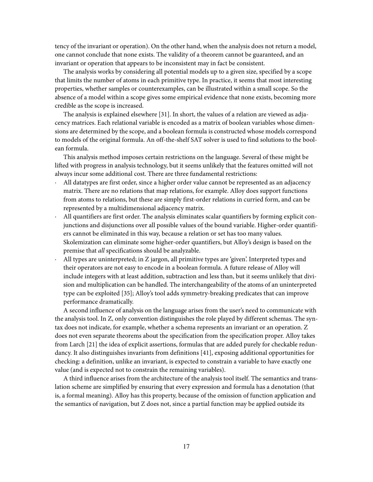tency of the invariant or operation). On the other hand, when the analysis does not return a model, one cannot conclude that none exists. The validity of a theorem cannot be guaranteed, and an invariant or operation that appears to be inconsistent may in fact be consistent.

The analysis works by considering all potential models up to a given size, specified by a scope that limits the number of atoms in each primitive type. In practice, it seems that most interesting properties, whether samples or counterexamples, can be illustrated within a small scope. So the absence of a model within a scope gives some empirical evidence that none exists, becoming more credible as the scope is increased.

The analysis is explained elsewhere [\[31\]](#page-28-0). In short, the values of a relation are viewed as adjacency matrices. Each relational variable is encoded as a matrix of boolean variables whose dimensions are determined by the scope, and a boolean formula is constructed whose models correspond to models of the original formula. An off-the-shelf SAT solver is used to find solutions to the boolean formula.

This analysis method imposes certain restrictions on the language. Several of these might be lifted with progress in analysis technology, but it seems unlikely that the features omitted will not always incur some additional cost. There are three fundamental restrictions:

- · All datatypes are first order, since a higher order value cannot be represented as an adjacency matrix. There are no relations that map relations, for example. Alloy does support functions from atoms to relations, but these are simply first-order relations in curried form, and can be represented by a multidimensional adjacency matrix.
- All quantifiers are first order. The analysis eliminates scalar quantifiers by forming explicit conjunctions and disjunctions over all possible values of the bound variable. Higher-order quantifiers cannot be eliminated in this way, because a relation or set has too many values. Skolemization can eliminate some higher-order quantifiers, but Alloy's design is based on the premise that *all* specifications should be analyzable.
- · All types are uninterpreted; in Z jargon, all primitive types are 'given'. Interpreted types and their operators are not easy to encode in a boolean formula. A future release of Alloy will include integers with at least addition, subtraction and less than, but it seems unlikely that division and multiplication can be handled. The interchangeability of the atoms of an uninterpreted type can be exploited [35]; Alloy's tool adds symmetry-breaking predicates that can improve performance dramatically.

A second influence of analysis on the language arises from the user's need to communicate with the analysis tool. In Z, only convention distinguishes the role played by different schemas. The syntax does not indicate, for example, whether a schema represents an invariant or an operation. Z does not even separate theorems about the specification from the specification proper. Alloy takes from Larch [[21](#page-28-2)] the idea of explicit assertions, formulas that are added purely for checkable redundancy. It also distinguishes invariants from definitions [[41\]](#page-29-5), exposing additional opportunities for checking: a definition, unlike an invariant, is expected to constrain a variable to have exactly one value (and is expected not to constrain the remaining variables).

A third influence arises from the architecture of the analysis tool itself. The semantics and translation scheme are simplified by ensuring that every expression and formula has a denotation (that is, a formal meaning). Alloy has this property, because of the omission of function application and the semantics of navigation, but Z does not, since a partial function may be applied outside its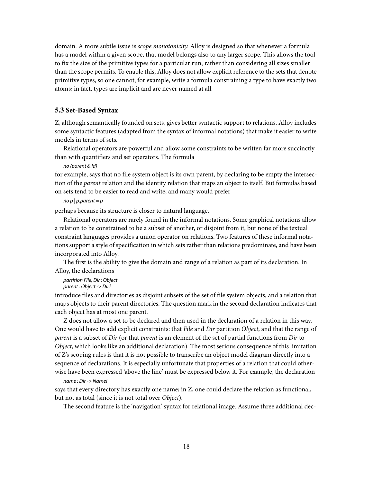domain. A more subtle issue is *scope monotonicity*. Alloy is designed so that whenever a formula has a model within a given scope, that model belongs also to any larger scope. This allows the tool to fix the size of the primitive types for a particular run, rather than considering all sizes smaller than the scope permits. To enable this, Alloy does not allow explicit reference to the sets that denote primitive types, so one cannot, for example, write a formula constraining a type to have exactly two atoms; in fact, types are implicit and are never named at all.

## **5.3 Set-Based Syntax**

Z, although semantically founded on sets, gives better syntactic support to relations. Alloy includes some syntactic features (adapted from the syntax of informal notations) that make it easier to write models in terms of sets.

Relational operators are powerful and allow some constraints to be written far more succinctly than with quantifiers and set operators. The formula

*no (parent* & *Id)*

for example, says that no file system object is its own parent, by declaring to be empty the intersection of the *parent* relation and the identity relation that maps an object to itself. But formulas based on sets tend to be easier to read and write, and many would prefer

*no p | p.parent = p*

perhaps because its structure is closer to natural language.

Relational operators are rarely found in the informal notations. Some graphical notations allow a relation to be constrained to be a subset of another, or disjoint from it, but none of the textual constraint languages provides a union operator on relations. Two features of these informal notations support a style of specification in which sets rather than relations predominate, and have been incorporated into Alloy.

The first is the ability to give the domain and range of a relation as part of its declaration. In Alloy, the declarations

*partition File, Dir : Object parent : Object -> Dir?*

introduce files and directories as disjoint subsets of the set of file system objects, and a relation that maps objects to their parent directories. The question mark in the second declaration indicates that each object has at most one parent.

Z does not allow a set to be declared and then used in the declaration of a relation in this way. One would have to add explicit constraints: that *File* and *Dir* partition *Object*, and that the range of *parent* is a subset of *Dir* (or that *parent* is an element of the set of partial functions from *Dir* to *Object*, which looks like an additional declaration). The most serious consequence of this limitation of Z's scoping rules is that it is not possible to transcribe an object model diagram directly into a sequence of declarations. It is especially unfortunate that properties of a relation that could otherwise have been expressed 'above the line' must be expressed below it. For example, the declaration

```
name : Dir -> Name!
```
says that every directory has exactly one name; in Z, one could declare the relation as functional, but not as total (since it is not total over *Object*).

The second feature is the 'navigation' syntax for relational image. Assume three additional dec-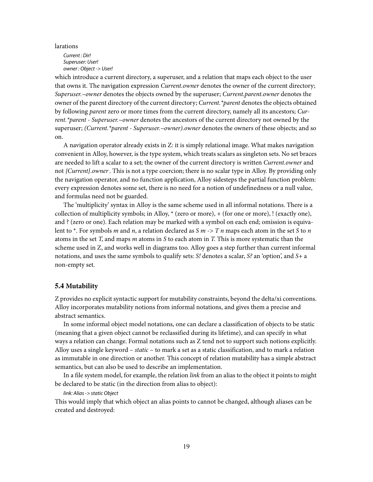#### larations

*Current : Dir! Superuser: User! owner : Object -> User!*

which introduce a current directory, a superuser, and a relation that maps each object to the user that owns it. The navigation expression *Current.owner* denotes the owner of the current directory; *Superuser.~owner* denotes the objects owned by the superuser; *Current.parent.owner* denotes the owner of the parent directory of the current directory; *Current.\*parent* denotes the objects obtained by following *parent* zero or more times from the current directory, namely all its ancestors; *Current.\*parent - Superuser.~owner* denotes the ancestors of the current directory not owned by the superuser; *(Current.\*parent - Superuser.~owner).owner* denotes the owners of these objects; and so on.

A navigation operator already exists in Z: it is simply relational image. What makes navigation convenient in Alloy, however, is the type system, which treats scalars as singleton sets. No set braces are needed to lift a scalar to a set; the owner of the current directory is written *Current.owner* and not *{Current}.owner*. This is not a type coercion; there is no scalar type in Alloy. By providing only the navigation operator, and no function application, Alloy sidesteps the partial function problem: every expression denotes some set, there is no need for a notion of undefinedness or a null value, and formulas need not be guarded.

The 'multiplicity' syntax in Alloy is the same scheme used in all informal notations. There is a collection of multiplicity symbols; in Alloy,  $*($  (zero or more),  $+($  for one or more),  $:($  (exactly one), and ? (zero or one). Each relation may be marked with a symbol on each end; omission is equivalent to \*. For symbols *m* and *n*, a relation declared as *S m* -> *T n* maps each atom in the set *S* to *n* atoms in the set *T*, and maps *m* atoms in *S* to each atom in *T*. This is more systematic than the scheme used in Z, and works well in diagrams too. Alloy goes a step further than current informal notations, and uses the same symbols to qualify sets: *S!* denotes a scalar, *S?* an 'option', and *S+* a non-empty set.

## **5.4 Mutability**

Z provides no explicit syntactic support for mutability constraints, beyond the delta/xi conventions. Alloy incorporates mutability notions from informal notations, and gives them a precise and abstract semantics.

In some informal object model notations, one can declare a classification of objects to be static (meaning that a given object cannot be reclassified during its lifetime), and can specify in what ways a relation can change. Formal notations such as Z tend not to support such notions explicitly. Alloy uses a single keyword – *static* – to mark a set as a static classification, and to mark a relation as immutable in one direction or another. This concept of relation mutability has a simple abstract semantics, but can also be used to describe an implementation.

In a file system model, for example, the relation *link* from an alias to the object it points to might be declared to be static (in the direction from alias to object):

#### *link: Alias -> static Object*

This would imply that which object an alias points to cannot be changed, although aliases can be created and destroyed: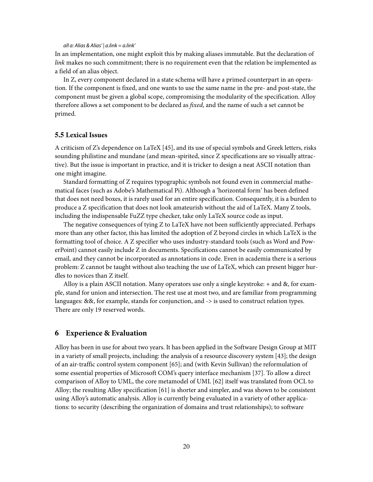#### *all a: Alias & Alias' | a.link = a.link'*

In an implementation, one might exploit this by making aliases immutable. But the declaration of *link* makes no such commitment; there is no requirement even that the relation be implemented as a field of an alias object.

In Z, every component declared in a state schema will have a primed counterpart in an operation. If the component is fixed, and one wants to use the same name in the pre- and post-state, the component must be given a global scope, compromising the modularity of the specification. Alloy therefore allows a set component to be declared as *fixed*, and the name of such a set cannot be primed.

#### **5.5 Lexical Issues**

A criticism of Z's dependence on LaTeX [\[45\]](#page-29-6), and its use of special symbols and Greek letters, risks sounding philistine and mundane (and mean-spirited, since Z specifications are so visually attractive). But the issue is important in practice, and it is tricker to design a neat ASCII notation than one might imagine.

Standard formatting of Z requires typographic symbols not found even in commercial mathematical faces (such as Adobe's Mathematical Pi). Although a 'horizontal form' has been defined that does not need boxes, it is rarely used for an entire specification. Consequently, it is a burden to produce a Z specification that does not look amateurish without the aid of LaTeX. Many Z tools, including the indispensable FuZZ type checker, take only LaTeX source code as input.

The negative consequences of tying Z to LaTeX have not been sufficiently appreciated. Perhaps more than any other factor, this has limited the adoption of Z beyond circles in which LaTeX is the formatting tool of choice. A Z specifier who uses industry-standard tools (such as Word and PowerPoint) cannot easily include Z in documents. Specifications cannot be easily communicated by email, and they cannot be incorporated as annotations in code. Even in academia there is a serious problem: Z cannot be taught without also teaching the use of LaTeX, which can present bigger hurdles to novices than Z itself.

Alloy is a plain ASCII notation. Many operators use only a single keystroke: + and &, for example, stand for union and intersection. The rest use at most two, and are familiar from programming languages: &&, for example, stands for conjunction, and -> is used to construct relation types. There are only 19 reserved words.

## <span id="page-19-0"></span>**6 Experience & Evaluation**

Alloy has been in use for about two years. It has been applied in the Software Design Group at MIT in a variety of small projects, including: the analysis of a resource discovery system [43]; the design of an air-traffic control system component [[65](#page-30-3)]; and (with Kevin Sullivan) the reformulation of some essential properties of Microsoft COM's query interface mechanism [37]. To allow a direct comparison of Alloy to UML, the core metamodel of UML [[62](#page-30-5)] itself was translated from OCL to Alloy; the resulting Alloy specification [61] is shorter and simpler, and was shown to be consistent using Alloy's automatic analysis. Alloy is currently being evaluated in a variety of other applications: to security (describing the organization of domains and trust relationships); to software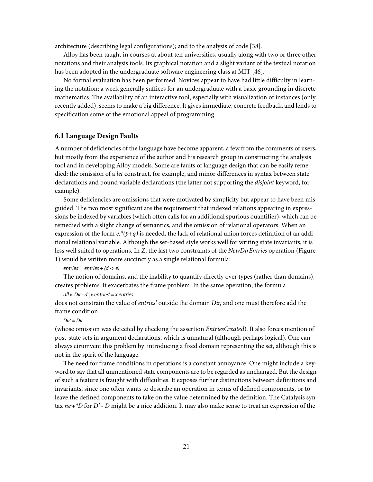architecture (describing legal configurations); and to the analysis of code [38].

Alloy has been taught in courses at about ten universities, usually along with two or three other notations and their analysis tools. Its graphical notation and a slight variant of the textual notation has been adopted in the undergraduate software engineering class at MIT [\[46](#page-29-3)].

No formal evaluation has been performed. Novices appear to have had little difficulty in learning the notation; a week generally suffices for an undergraduate with a basic grounding in discrete mathematics. The availability of an interactive tool, especially with visualization of instances (only recently added), seems to make a big difference. It gives immediate, concrete feedback, and lends to specification some of the emotional appeal of programming.

## **6.1 Language Design Faults**

A number of deficiencies of the language have become apparent, a few from the comments of users, but mostly from the experience of the author and his research group in constructing the analysis tool and in developing Alloy models. Some are faults of language design that can be easily remedied: the omission of a *let* construct, for example, and minor differences in syntax between state declarations and bound variable declarations (the latter not supporting the *disjoint* keyword, for example).

Some deficiencies are omissions that were motivated by simplicity but appear to have been misguided. The two most significant are the requirement that indexed relations appearing in expressions be indexed by variables (which often calls for an additional spurious quantifier), which can be remedied with a slight change of semantics, and the omission of relational operators. When an expression of the form  $e^*(p+q)$  is needed, the lack of relational union forces definition of an additional relational variable. Although the set-based style works well for writing state invariants, it is less well suited to operations. In Z, the last two constraints of the *NewDirEntries* operation (Figure 1) would be written more succinctly as a single relational formula:

*entries' = entries + {d -> e}*

The notion of domains, and the inability to quantify directly over types (rather than domains), creates problems. It exacerbates the frame problem. In the same operation, the formula

*all x: Dir - d | x.entries' = x.entries*

does not constrain the value of *entries'* outside the domain *Dir*, and one must therefore add the frame condition

#### *Dir' = Dir*

(whose omission was detected by checking the assertion *EntriesCreated*)*.* It also forces mention of post-state sets in argument declarations, which is unnatural (although perhaps logical). One can always cirumvent this problem by introducing a fixed domain representing the set, although this is not in the spirit of the language.

The need for frame conditions in operations is a constant annoyance. One might include a keyword to say that all unmentioned state components are to be regarded as unchanged. But the design of such a feature is fraught with difficulties. It exposes further distinctions between definitions and invariants, since one often wants to describe an operation in terms of defined components, or to leave the defined components to take on the value determined by the definition. The Catalysis syntax *new\*D* for *D' - D* might be a nice addition. It may also make sense to treat an expression of the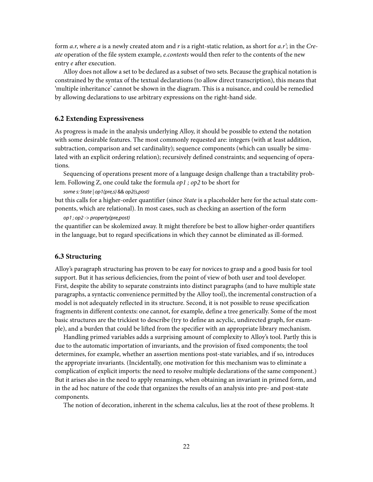form *a.r*, where *a* is a newly created atom and *r* is a right-static relation, as short for *a.r'*; in the *Create* operation of the file system example, *e.contents* would then refer to the contents of the new entry *e* after execution.

Alloy does not allow a set to be declared as a subset of two sets. Because the graphical notation is constrained by the syntax of the textual declarations (to allow direct transcription), this means that 'multiple inheritance' cannot be shown in the diagram. This is a nuisance, and could be remedied by allowing declarations to use arbitrary expressions on the right-hand side.

#### **6.2 Extending Expressiveness**

As progress is made in the analysis underlying Alloy, it should be possible to extend the notation with some desirable features. The most commonly requested are: integers (with at least addition, subtraction, comparison and set cardinality); sequence components (which can usually be simulated with an explicit ordering relation); recursively defined constraints; and sequencing of operations.

Sequencing of operations present more of a language design challenge than a tractability problem. Following Z, one could take the formula *op1 ; op2* to be short for

#### *some s: State | op1(pre,s)* && *op2(s,post)*

but this calls for a higher-order quantifier (since *State* is a placeholder here for the actual state components, which are relational). In most cases, such as checking an assertion of the form

#### *op1 ; op2 -> property(pre,post)*

the quantifier can be skolemized away. It might therefore be best to allow higher-order quantifiers in the language, but to regard specifications in which they cannot be eliminated as ill-formed.

#### **6.3 Structuring**

Alloy's paragraph structuring has proven to be easy for novices to grasp and a good basis for tool support. But it has serious deficiencies, from the point of view of both user and tool developer. First, despite the ability to separate constraints into distinct paragraphs (and to have multiple state paragraphs, a syntactic convenience permitted by the Alloy tool), the incremental construction of a model is not adequately reflected in its structure. Second, it is not possible to reuse specification fragments in different contexts: one cannot, for example, define a tree generically. Some of the most basic structures are the trickiest to describe (try to define an acyclic, undirected graph, for example), and a burden that could be lifted from the specifier with an appropriate library mechanism.

Handling primed variables adds a surprising amount of complexity to Alloy's tool. Partly this is due to the automatic importation of invariants, and the provision of fixed components; the tool determines, for example, whether an assertion mentions post-state variables, and if so, introduces the appropriate invariants. (Incidentally, one motivation for this mechanism was to eliminate a complication of explicit imports: the need to resolve multiple declarations of the same component.) But it arises also in the need to apply renamings, when obtaining an invariant in primed form, and in the ad hoc nature of the code that organizes the results of an analysis into pre- and post-state components.

The notion of decoration, inherent in the schema calculus, lies at the root of these problems. It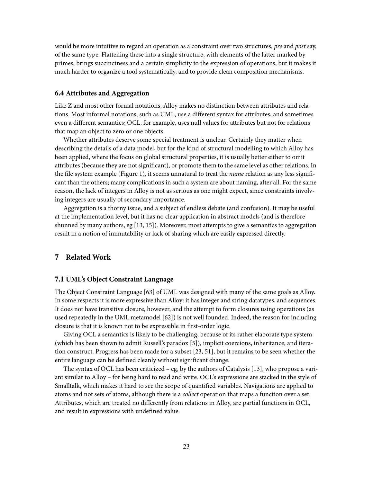would be more intuitive to regard an operation as a constraint over two structures, *pre* and *post* say, of the same type. Flattening these into a single structure, with elements of the latter marked by primes, brings succinctness and a certain simplicity to the expression of operations, but it makes it much harder to organize a tool systematically, and to provide clean composition mechanisms.

## <span id="page-22-1"></span>**6.4 Attributes and Aggregation**

Like Z and most other formal notations, Alloy makes no distinction between attributes and relations. Most informal notations, such as UML, use a different syntax for attributes, and sometimes even a different semantics; OCL, for example, uses null values for attributes but not for relations that map an object to zero or one objects.

Whether attributes deserve some special treatment is unclear. Certainly they matter when describing the details of a data model, but for the kind of structural modelling to which Alloy has been applied, where the focus on global structural properties, it is usually better either to omit attributes (because they are not significant), or promote them to the same level as other relations. In the file system example (Figure 1), it seems unnatural to treat the *name* relation as any less significant than the others; many complications in such a system are about naming, after all. For the same reason, the lack of integers in Alloy is not as serious as one might expect, since constraints involving integers are usually of secondary importance.

Aggregation is a thorny issue, and a subject of endless debate (and confusion). It may be useful at the implementation level, but it has no clear application in abstract models (and is therefore shunned by many authors, eg [[13](#page-27-0), [15\]](#page-28-4)). Moreover, most attempts to give a semantics to aggregation result in a notion of immutability or lack of sharing which are easily expressed directly.

## <span id="page-22-0"></span>**7 Related Work**

## <span id="page-22-2"></span>**7.1 UML's Object Constraint Language**

The Object Constraint Language [[63](#page-30-0)] of UML was designed with many of the same goals as Alloy. In some respects it is more expressive than Alloy: it has integer and string datatypes, and sequences. It does not have transitive closure, however, and the attempt to form closures using operations (as used repeatedly in the UML metamodel [\[62\]](#page-30-5)) is not well founded. Indeed, the reason for including closure is that it is known not to be expressible in first-order logic.

Giving OCL a semantics is likely to be challenging, because of its rather elaborate type system (which has been shown to admit Russell's paradox [\[5\]](#page-27-3)), implicit coercions, inheritance, and iteration construct. Progress has been made for a subset [23, [51\]](#page-29-7), but it remains to be seen whether the entire language can be defined cleanly without significant change.

The syntax of OCL has been criticized – eg, by the authors of Catalysis [\[13](#page-27-0)], who propose a variant similar to Alloy – for being hard to read and write. OCL's expressions are stacked in the style of Smalltalk, which makes it hard to see the scope of quantified variables. Navigations are applied to atoms and not sets of atoms, although there is a *collect* operation that maps a function over a set. Attributes, which are treated no differently from relations in Alloy, are partial functions in OCL, and result in expressions with undefined value.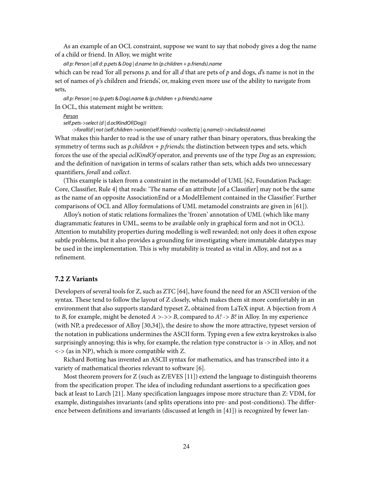As an example of an OCL constraint, suppose we want to say that nobody gives a dog the name of a child or friend. In Alloy, we might write

*all p: Person | all d: p.pets* & *Dog | d.name !in (p.children + p.friends).name*

which can be read 'for all persons *p*, and for all *d* that are pets of *p* and dogs, *d*'s name is not in the set of names of *p*'s children and friends', or, making even more use of the ability to navigate from sets,

*all p: Person | no (p.pets* & *Dog).name* & *(p.children + p.friends).name* In OCL, this statement might be written:

*Person*

*self.pets->select (d | d.oclKindOf(Dog))*

*->forall(d | not (self.children->union(self.friends)->collect(q | q.name))->includes(d.name)*

What makes this harder to read is the use of unary rather than binary operators, thus breaking the symmetry of terms such as *p.children + p.friends*; the distinction between types and sets, which forces the use of the special *oclKindOf* operator, and prevents use of the type *Dog* as an expression; and the definition of navigation in terms of scalars rather than sets, which adds two unnecessary quantifiers, *forall* and *collect*.

(This example is taken from a constraint in the metamodel of UML [\[62](#page-30-5), Foundation Package: Core, Classifier, Rule 4] that reads: 'The name of an attribute [of a Classifier] may not be the same as the name of an opposite AssociationEnd or a ModelElement contained in the Classifier'. Further comparisons of OCL and Alloy formulations of UML metamodel constraints are given in [61]).

Alloy's notion of static relations formalizes the 'frozen' annotation of UML (which like many diagrammatic features in UML, seems to be available only in graphical form and not in OCL). Attention to mutability properties during modelling is well rewarded; not only does it often expose subtle problems, but it also provides a grounding for investigating where immutable datatypes may be used in the implementation. This is why mutability is treated as vital in Alloy, and not as a refinement.

## **7.2 Z Variants**

Developers of several tools for Z, such as ZTC [\[64\]](#page-30-6), have found the need for an ASCII version of the syntax. These tend to follow the layout of Z closely, which makes them sit more comfortably in an environment that also supports standard typeset Z, obtained from LaTeX input. A bijection from *A* to *B*, for example, might be denoted *A >->> B*, compared to *A! -> B!* in Alloy. In my experience (with NP, a predecessor of Alloy [[30](#page-28-1),[34](#page-29-1)]), the desire to show the more attractive, typeset version of the notation in publications undermines the ASCII form. Typing even a few extra keystrokes is also surprisingly annoying; this is why, for example, the relation type constructor is -> in Alloy, and not  $\langle \rangle$  (as in NP), which is more compatible with Z.

Richard Botting has invented an ASCII syntax for mathematics, and has transcribed into it a variety of mathematical theories relevant to software [[6](#page-27-5)].

Most theorem provers for Z (such as Z/EVES [[11](#page-27-4)]) extend the language to distinguish theorems from the specification proper. The idea of including redundant assertions to a specification goes back at least to Larch [\[21](#page-28-2)]. Many specification languages impose more structure than Z: VDM, for example, distinguishes invariants (and splits operations into pre- and post-conditions). The difference between definitions and invariants (discussed at length in [\[41\]](#page-29-5)) is recognized by fewer lan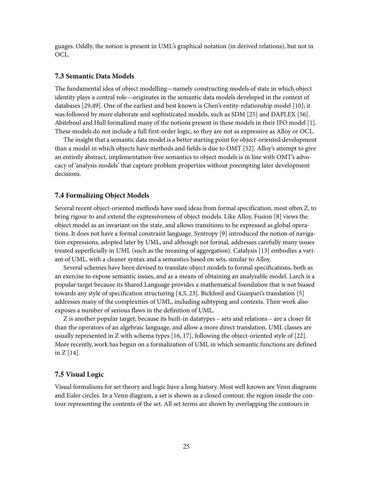guages. Oddly, the notion is present in UML's graphical notation (in derived relations), but not in OCL.

#### **7.3 Semantic Data Models**

The fundamental idea of object modelling—namely constructing models of state in which object identity plays a central role—originates in the semantic data models developed in the context of databases [\[29,](#page-28-9)[49\]](#page-29-8). One of the earliest and best known is Chen's entity-relationship model [\[10\]](#page-27-8); it was followed by more elaborate and sophisticated models, such as SDM [\[25\]](#page-28-8) and DAPLEX [[56](#page-30-7)]. Abiteboul and Hull formalized many of the notions present in these models in their IFO model [\[1](#page-27-9)]. These models do not include a full first-order logic, so they are not as expressive as Alloy or OCL.

The insight that a semantic data model is a better starting point for object-oriented development than a model in which objects have methods and fields is due to OMT [[52](#page-30-4)]. Alloy's attempt to give an entirely abstract, implementation-free semantics to object models is in line with OMT's advocacy of 'analysis models' that capture problem properties without preempting later development decisions.

#### **7.4 Formalizing Object Models**

Several recent object-oriented methods have used ideas from formal specification, most often Z, to bring rigour to and extend the expressiveness of object models. Like Alloy, Fusion [8] views the object model as an invariant on the state, and allows transitions to be expressed as global operations. It does not have a formal constraint language. Syntropy [\[9](#page-27-2)] introduced the notion of navigation expressions, adopted later by UML, and although not formal, addresses carefully many issues treated superficially in UML (such as the meaning of aggregation). Catalysis [\[13](#page-27-0)] embodies a variant of UML, with a cleaner syntax and a semantics based on sets, similar to Alloy.

Several schemes have been devised to translate object models to formal specifications, both as an exercise to expose semantic issues, and as a means of obtaining an analyzable model. Larch is a popular target because its Shared Language provides a mathematical foundation that is not biased towards any style of specification structuring [\[4,](#page-27-6)[5](#page-27-3), 23]. Bickford and Guaspari's translation [[5\]](#page-27-3) addresses many of the complexities of UML, including subtyping and contexts. Their work also exposes a number of serious flaws in the definition of UML.

Z is another popular target, because its built-in datatypes – sets and relations – are a closer fit than the operators of an algebraic language, and allow a more direct translation. UML classes are usually represented in Z with schema types [[16](#page-28-5), [17\]](#page-28-6), following the object-oriented style of [\[22\]](#page-28-7). More recently, work has begun on a formalization of UML in which semantic functions are defined in Z [\[14\]](#page-27-7).

## **7.5 Visual Logic**

Visual formalisms for set theory and logic have a long history. Most well known are Venn diagrams and Euler circles. In a Venn diagram, a set is shown as a closed contour, the region inside the contour representing the contents of the set. All set terms are shown by overlapping the contours in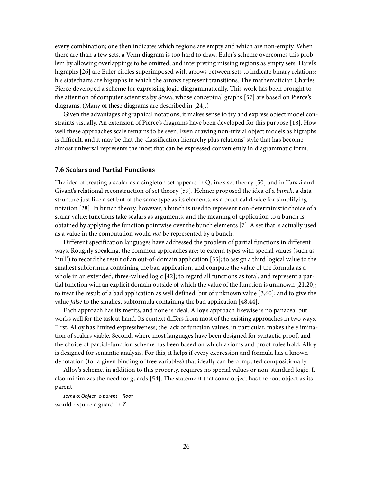every combination; one then indicates which regions are empty and which are non-empty. When there are than a few sets, a Venn diagram is too hard to draw. Euler's scheme overcomes this problem by allowing overlappings to be omitted, and interpreting missing regions as empty sets. Harel's higraphs [\[26\]](#page-28-10) are Euler circles superimposed with arrows between sets to indicate binary relations; his statecharts are higraphs in which the arrows represent transitions. The mathematician Charles Pierce developed a scheme for expressing logic diagrammatically. This work has been brought to the attention of computer scientists by Sowa, whose conceptual graphs [\[57\]](#page-30-8) are based on Pierce's diagrams. (Many of these diagrams are described in [\[24\]](#page-28-11).)

Given the advantages of graphical notations, it makes sense to try and express object model constraints visually. An extension of Pierce's diagrams have been developed for this purpose [18]. How well these approaches scale remains to be seen. Even drawing non-trivial object models as higraphs is difficult, and it may be that the 'classification hierarchy plus relations' style that has become almost universal represents the most that can be expressed conveniently in diagrammatic form.

## **7.6 Scalars and Partial Functions**

The idea of treating a scalar as a singleton set appears in Quine's set theory [\[50\]](#page-29-9) and in Tarski and Givant's relational reconstruction of set theory [[59](#page-30-9)]. Hehner proposed the idea of a *bunch*, a data structure just like a set but of the same type as its elements, as a practical device for simplifying notation [\[28\]](#page-28-12). In bunch theory, however, a bunch is used to represent non-deterministic choice of a scalar value; functions take scalars as arguments, and the meaning of application to a bunch is obtained by applying the function pointwise over the bunch elements [\[7\]](#page-27-10). A set that is actually used as a value in the computation would *not* be represented by a bunch.

Different specification languages have addressed the problem of partial functions in different ways. Roughly speaking, the common approaches are: to extend types with special values (such as 'null') to record the result of an out-of-domain application [\[55\]](#page-30-10); to assign a third logical value to the smallest subformula containing the bad application, and compute the value of the formula as a whole in an extended, three-valued logic [[42](#page-29-4)]; to regard all functions as total, and represent a partial function with an explicit domain outside of which the value of the function is unknown [[21,](#page-28-2)[20\]](#page-28-13); to treat the result of a bad application as well defined, but of unknown value [[3](#page-27-11),[60](#page-30-11)]; and to give the value *false* to the smallest subformula containing the bad application [48,44].

Each approach has its merits, and none is ideal. Alloy's approach likewise is no panacea, but works well for the task at hand. Its context differs from most of the existing approaches in two ways. First, Alloy has limited expressiveness; the lack of function values, in particular, makes the elimination of scalars viable. Second, where most languages have been designed for syntactic proof, and the choice of partial-function scheme has been based on which axioms and proof rules hold, Alloy is designed for semantic analysis. For this, it helps if every expression and formula has a known denotation (for a given binding of free variables) that ideally can be computed compositionally.

Alloy's scheme, in addition to this property, requires no special values or non-standard logic. It also minimizes the need for guards [\[54](#page-30-12)]. The statement that some object has the root object as its parent

*some o: Object | o.parent = Root* would require a guard in Z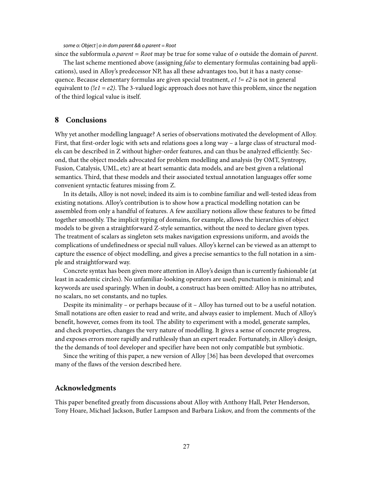#### *some o: Object | o in dom parent && o.parent = Root*

since the subformula *o.parent = Root* may be true for some value of *o* outside the domain of *parent*.

The last scheme mentioned above (assigning *false* to elementary formulas containing bad applications), used in Alloy's predecessor NP, has all these advantages too, but it has a nasty consequence. Because elementary formulas are given special treatment, *e1 != e2* is not in general equivalent to  $(le1 = e2)$ . The 3-valued logic approach does not have this problem, since the negation of the third logical value is itself.

## <span id="page-26-0"></span>**8 Conclusions**

Why yet another modelling language? A series of observations motivated the development of Alloy. First, that first-order logic with sets and relations goes a long way – a large class of structural models can be described in Z without higher-order features, and can thus be analyzed efficiently. Second, that the object models advocated for problem modelling and analysis (by OMT, Syntropy, Fusion, Catalysis, UML, etc) are at heart semantic data models, and are best given a relational semantics. Third, that these models and their associated textual annotation languages offer some convenient syntactic features missing from Z.

In its details, Alloy is not novel; indeed its aim is to combine familiar and well-tested ideas from existing notations. Alloy's contribution is to show how a practical modelling notation can be assembled from only a handful of features. A few auxiliary notions allow these features to be fitted together smoothly. The implicit typing of domains, for example, allows the hierarchies of object models to be given a straightforward Z-style semantics, without the need to declare given types. The treatment of scalars as singleton sets makes navigation expressions uniform, and avoids the complications of undefinedness or special null values. Alloy's kernel can be viewed as an attempt to capture the essence of object modelling, and gives a precise semantics to the full notation in a simple and straightforward way.

Concrete syntax has been given more attention in Alloy's design than is currently fashionable (at least in academic circles). No unfamiliar-looking operators are used; punctuation is minimal; and keywords are used sparingly. When in doubt, a construct has been omitted: Alloy has no attributes, no scalars, no set constants, and no tuples.

Despite its minimality – or perhaps because of it – Alloy has turned out to be a useful notation. Small notations are often easier to read and write, and always easier to implement. Much of Alloy's benefit, however, comes from its tool. The ability to experiment with a model, generate samples, and check properties, changes the very nature of modelling. It gives a sense of concrete progress, and exposes errors more rapidly and ruthlessly than an expert reader. Fortunately, in Alloy's design, the the demands of tool developer and specifier have been not only compatible but symbiotic.

Since the writing of this paper, a new version of Alloy [[36](#page-29-10)] has been developed that overcomes many of the flaws of the version described here.

## **Acknowledgments**

This paper benefited greatly from discussions about Alloy with Anthony Hall, Peter Henderson, Tony Hoare, Michael Jackson, Butler Lampson and Barbara Liskov, and from the comments of the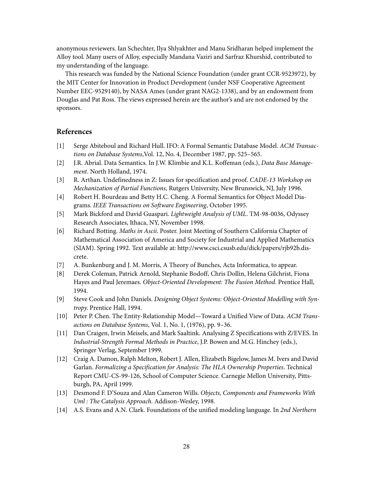anonymous reviewers. Ian Schechter, Ilya Shlyakhter and Manu Sridharan helped implement the Alloy tool. Many users of Alloy, especially Mandana Vaziri and Sarfraz Khurshid, contributed to my understanding of the language.

This research was funded by the National Science Foundation (under grant CCR-9523972), by the MIT Center for Innovation in Product Development (under NSF Cooperative Agreement Number EEC-9529140), by NASA Ames (under grant NAG2-1338), and by an endowment from Douglas and Pat Ross. The views expressed herein are the author's and are not endorsed by the sponsors.

## **References**

- <span id="page-27-9"></span>[1] Serge Abiteboul and Richard Hull. IFO: A Formal Semantic Database Model. *ACM Transactions on Database Systems*,Vol. 12, No. 4, December 1987, pp. 525–565.
- <span id="page-27-1"></span>[2] J.R. Abrial. Data Semantics. In J.W. Klimbie and K.L. Koffeman (eds.), *Data Base Management*. North Holland, 1974.
- <span id="page-27-11"></span>[3] R. Arthan. Undefinedness in Z: Issues for specification and proof. *CADE-13 Workshop on Mechanization of Partial Functions*, Rutgers University, New Brunswick, NJ, July 1996.
- <span id="page-27-6"></span>[4] Robert H. Bourdeau and Betty H.C. Cheng. A Formal Semantics for Object Model Diagrams. *IEEE Transactions on Software Engineering*, October 1995.
- <span id="page-27-3"></span>[5] Mark Bickford and David Guaspari. *Lightweight Analysis of UML*. TM-98-0036, Odyssey Research Associates, Ithaca, NY, November 1998.
- <span id="page-27-5"></span>[6] Richard Botting. *Maths in Ascii*. Poster. Joint Meeting of Southern California Chapter of Mathematical Association of America and Society for Industrial and Applied Mathematics (SIAM). Spring 1992. Text available at: http://www.csci.csusb.edu/dick/papers/rjb92b.discrete.
- <span id="page-27-10"></span>[7] A. Bunkenburg and J. M. Morris, A Theory of Bunches, Acta Informatica, to appear.
- [8] Derek Coleman, Patrick Arnold, Stephanie Bodoff, Chris Dollin, Helena Gilchrist, Fiona Hayes and Paul Jeremaes*. Object-Oriented Development: The Fusion Method*. Prentice Hall, 1994.
- <span id="page-27-2"></span>[9] Steve Cook and John Daniels. *Designing Object Systems: Object-Oriented Modelling with Syntropy*. Prentice Hall, 1994.
- <span id="page-27-8"></span>[10] Peter P. Chen. The Entity-Relationship Model—Toward a Unified View of Data. *ACM Transactions on Database Systems*, Vol. 1, No. 1, (1976), pp. 9–36.
- <span id="page-27-4"></span>[11] Dan Craigen, Irwin Meisels, and Mark Saaltink. Analysing Z Specifications with Z/EVES. In *Industrial-Strength Formal Methods in Practice*, J.P. Bowen and M.G. Hinchey (eds.), Springer Verlag, September 1999.
- [12] Craig A. Damon, Ralph Melton, Robert J. Allen, Elizabeth Bigelow, James M. Ivers and David Garlan. *Formalizing a Specification for Analysis: The HLA Ownership Properties*. Technical Report CMU-CS-99-126, School of Computer Science. Carnegie Mellon University, Pittsburgh, PA, April 1999.
- <span id="page-27-0"></span>[13] Desmond F. D'Souza and Alan Cameron Wills. *Objects, Components and Frameworks With Uml : The Catalysis Approach*. Addison-Wesley, 1998.
- <span id="page-27-7"></span>[14] A.S. Evans and A.N. Clark. Foundations of the unified modeling language. In *2nd Northern*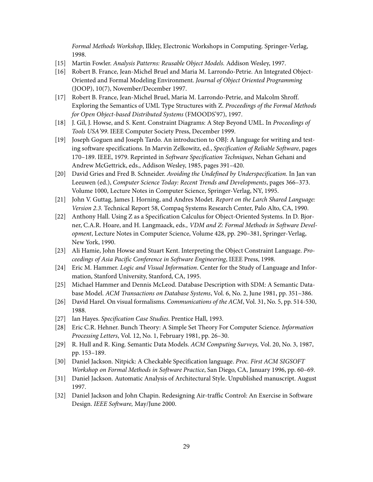*Formal Methods Workshop*, Ilkley, Electronic Workshops in Computing. Springer-Verlag, 1998.

- <span id="page-28-4"></span>[15] Martin Fowler. *Analysis Patterns: Reusable Object Models.* Addison Wesley, 1997.
- <span id="page-28-5"></span>[16] Robert B. France, Jean-Michel Bruel and Maria M. Larrondo-Petrie. An Integrated Object-Oriented and Formal Modeling Environment. *Journal of Object Oriented Programming* (JOOP), 10(7), November/December 1997.
- <span id="page-28-6"></span>[17] Robert B. France, Jean-Michel Bruel, Maria M. Larrondo-Petrie, and Malcolm Shroff. Exploring the Semantics of UML Type Structures with Z. *Proceedings of the Formal Methods for Open Object-based Distributed Systems* (FMOODS'97), 1997.
- [18] J. Gil, J. Howse, and S. Kent. Constraint Diagrams: A Step Beyond UML. In *Proceedings of Tools USA'99*. IEEE Computer Society Press, December 1999.
- <span id="page-28-3"></span>[19] Joseph Goguen and Joseph Tardo. An introduction to OBJ: A language for writing and testing software specifications. In Marvin Zelkowitz, ed., *Specification of Reliable Software*, pages 170–189. IEEE, 1979. Reprinted in *Software Specification Techniques*, Nehan Gehani and Andrew McGettrick, eds., Addison Wesley, 1985, pages 391–420.
- <span id="page-28-13"></span>[20] David Gries and Fred B. Schneider. *Avoiding the Undefined by Underspecification.* In Jan van Leeuwen (ed.), *Computer Science Today: Recent Trends and Developments*, pages 366–373. Volume 1000, Lecture Notes in Computer Science, Springer-Verlag, NY, 1995.
- <span id="page-28-2"></span>[21] John V. Guttag, James J. Horning, and Andres Modet. *Report on the Larch Shared Language: Version 2.3.* Technical Report 58, Compaq Systems Research Center, Palo Alto, CA, 1990.
- <span id="page-28-7"></span>[22] Anthony Hall. Using Z as a Specification Calculus for Object-Oriented Systems. In D. Bjorner, C.A.R. Hoare, and H. Langmaack, eds*., VDM and Z: Formal Methods in Software Development*, Lecture Notes in Computer Science, Volume 428, pp. 290–381, Springer-Verlag, New York, 1990.
- [23] Ali Hamie, John Howse and Stuart Kent. Interpreting the Object Constraint Language. *Proceedings of Asia Pacific Conference in Software Engineering*, IEEE Press, 1998.
- <span id="page-28-11"></span>[24] Eric M. Hammer. *Logic and Visual Information*. Center for the Study of Language and Information, Stanford University, Stanford, CA, 1995.
- <span id="page-28-8"></span>[25] Michael Hammer and Dennis McLeod. Database Description with SDM: A Semantic Database Model. *ACM Transactions on Database Systems*, Vol. 6, No. 2, June 1981, pp. 351–386.
- <span id="page-28-10"></span>[26] David Harel. On visual formalisms. *Communications of the ACM*, Vol. 31, No. 5, pp. 514-530, 1988.
- [27] Ian Hayes. *Specification Case Studies*. Prentice Hall, 1993.
- <span id="page-28-12"></span>[28] Eric C.R. Hehner. Bunch Theory: A Simple Set Theory For Computer Science. *Information Processing Letters*, Vol. 12, No. 1, February 1981, pp. 26–30.
- <span id="page-28-9"></span>[29] R. Hull and R. King. Semantic Data Models. *ACM Computing Surveys,* Vol. 20, No. 3, 1987, pp. 153–189.
- <span id="page-28-1"></span>[30] Daniel Jackson. Nitpick: A Checkable Specification language. *Proc. First ACM SIGSOFT Workshop on Formal Methods in Software Practice*, San Diego, CA, January 1996, pp. 60–69.
- <span id="page-28-0"></span>[31] Daniel Jackson. Automatic Analysis of Architectural Style. Unpublished manuscript. August 1997.
- [32] Daniel Jackson and John Chapin. Redesigning Air-traffic Control: An Exercise in Software Design. *IEEE Software,* May/June 2000.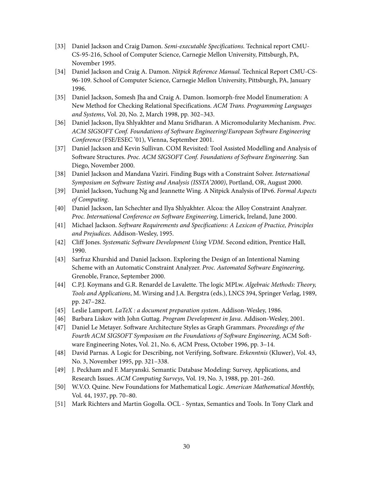- <span id="page-29-0"></span>[33] Daniel Jackson and Craig Damon. *Semi-executable Specifications.* Technical report CMU-CS-95-216, School of Computer Science, Carnegie Mellon University, Pittsburgh, PA, November 1995.
- <span id="page-29-1"></span>[34] Daniel Jackson and Craig A. Damon. *Nitpick Reference Manual.* Technical Report CMU-CS-96-109. School of Computer Science, Carnegie Mellon University, Pittsburgh, PA, January 1996.
- [35] Daniel Jackson, Somesh Jha and Craig A. Damon. Isomorph-free Model Enumeration: A New Method for Checking Relational Specifications. *ACM Trans. Programming Languages and Systems*, Vol. 20, No. 2, March 1998, pp. 302–343.
- <span id="page-29-10"></span>[36] Daniel Jackson, Ilya Shlyakhter and Manu Sridharan. A Micromodularity Mechanism. *Proc. ACM SIGSOFT Conf. Foundations of Software Engineering*/*European Software Engineering Conference* (FSE/ESEC '01), Vienna, September 2001.
- [37] Daniel Jackson and Kevin Sullivan. COM Revisited: Tool Assisted Modelling and Analysis of Software Structures. *Proc. ACM SIGSOFT Conf. Foundations of Software Engineering*. San Diego, November 2000.
- [38] Daniel Jackson and Mandana Vaziri. Finding Bugs with a Constraint Solver. *International Symposium on Software Testing and Analysis (ISSTA'2000)*, Portland, OR, August 2000.
- <span id="page-29-2"></span>[39] Daniel Jackson, Yuchung Ng and Jeannette Wing. A Nitpick Analysis of IPv6. *Formal Aspects of Computing*.
- [40] Daniel Jackson, Ian Schechter and Ilya Shlyakhter. Alcoa: the Alloy Constraint Analyzer. *Proc. International Conference on Software Engineering*, Limerick, Ireland, June 2000.
- <span id="page-29-5"></span>[41] Michael Jackson. *Software Requirements and Specifications: A Lexicon of Practice, Principles and Prejudices*. Addison-Wesley, 1995.
- <span id="page-29-4"></span>[42] Cliff Jones. *Systematic Software Development Using VDM*. Second edition, Prentice Hall, 1990.
- [43] Sarfraz Khurshid and Daniel Jackson. Exploring the Design of an Intentional Naming Scheme with an Automatic Constraint Analyzer. *Proc. Automated Software Engineering*, Grenoble, France, September 2000.
- [44] C.P.J. Koymans and G.R. Renardel de Lavalette. The logic MPLw. *Algebraic Methods: Theory, Tools and Applications*, M. Wirsing and J.A. Bergstra (eds.), LNCS 394, Springer Verlag, 1989, pp. 247–282.
- <span id="page-29-6"></span>[45] Leslie Lamport. *LaTeX : a document preparation system*. Addison-Wesley, 1986.
- <span id="page-29-3"></span>[46] Barbara Liskov with John Guttag. *Program Development in Java*. Addison-Wesley, 2001.
- [47] Daniel Le Metayer. Software Architecture Styles as Graph Grammars. *Proceedings of the Fourth ACM SIGSOFT Symposium on the Foundations of Software Engineering*, ACM Software Engineering Notes, Vol. 21, No. 6, ACM Press, October 1996, pp. 3–14.
- [48] David Parnas. A Logic for Describing, not Verifying, Software. *Erkenntnis* (Kluwer), Vol. 43, No. 3, November 1995, pp. 321–338.
- <span id="page-29-8"></span>[49] J. Peckham and F. Maryanski. Semantic Database Modeling: Survey, Applications, and Research Issues. *ACM Computing Surveys*, Vol. 19, No. 3, 1988, pp. 201–260.
- <span id="page-29-9"></span>[50] W.V.O. Quine. New Foundations for Mathematical Logic. *American Mathematical Monthly*, Vol. 44, 1937, pp. 70–80.
- <span id="page-29-7"></span>[51] Mark Richters and Martin Gogolla. OCL - Syntax, Semantics and Tools. In Tony Clark and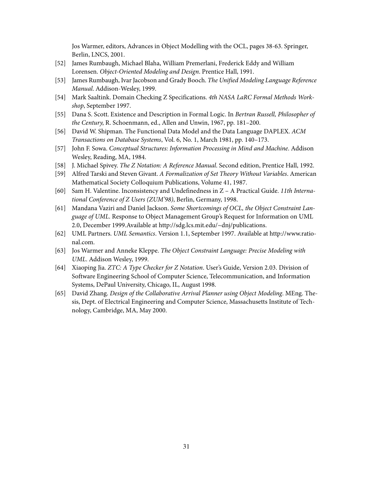Jos Warmer, editors, Advances in Object Modelling with the OCL, pages 38-63. Springer, Berlin, LNCS, 2001.

- <span id="page-30-4"></span>[52] James Rumbaugh, Michael Blaha, William Premerlani, Frederick Eddy and William Lorensen. *Object-Oriented Modeling and Design*. Prentice Hall, 1991.
- <span id="page-30-1"></span>[53] James Rumbaugh, Ivar Jacobson and Grady Booch. *The Unified Modeling Language Reference Manual*. Addison-Wesley, 1999.
- <span id="page-30-12"></span>[54] Mark Saaltink. Domain Checking Z Specifications. *4th NASA LaRC Formal Methods Workshop*, September 1997.
- <span id="page-30-10"></span>[55] Dana S. Scott. Existence and Description in Formal Logic. In *Bertran Russell, Philosopher of the Century*, R. Schoenmann, ed., Allen and Unwin, 1967, pp. 181–200.
- <span id="page-30-7"></span>[56] David W. Shipman. The Functional Data Model and the Data Language DAPLEX. *ACM Transactions on Database Systems*, Vol. 6, No. 1, March 1981, pp. 140–173.
- <span id="page-30-8"></span>[57] John F. Sowa. *Conceptual Structures: Information Processing in Mind and Machine*. Addison Wesley, Reading, MA, 1984.
- <span id="page-30-2"></span>[58] J. Michael Spivey. *The Z Notation: A Reference Manual*. Second edition, Prentice Hall, 1992.
- <span id="page-30-9"></span>[59] Alfred Tarski and Steven Givant. *A Formalization of Set Theory Without Variables*. American Mathematical Society Colloquium Publications, Volume 41, 1987.
- <span id="page-30-11"></span>[60] Sam H. Valentine. Inconsistency and Undefinedness in Z – A Practical Guide. *11th International Conference of Z Users (ZUM'98)*, Berlin, Germany, 1998.
- [61] Mandana Vaziri and Daniel Jackson. *Some Shortcomings of OCL, the Object Constraint Language of UML*. Response to Object Management Group's Request for Information on UML 2.0, December 1999.Available at http://sdg.lcs.mit.edu/~dnj/publications.
- <span id="page-30-5"></span>[62] UML Partners. *UML Semantics*. Version 1.1, September 1997. Available at http://www.rational.com.
- <span id="page-30-0"></span>[63] Jos Warmer and Anneke Kleppe. *The Object Constraint Language: Precise Modeling with UML*. Addison Wesley, 1999.
- <span id="page-30-6"></span>[64] Xiaoping Jia. *ZTC: A Type Checker for Z Notation*. User's Guide, Version 2.03. Division of Software Engineering School of Computer Science, Telecommunication, and Information Systems, DePaul University, Chicago, IL, August 1998.
- <span id="page-30-3"></span>[65] David Zhang. *Design of the Collaborative Arrival Planner using Object Modeling*. MEng. Thesis, Dept. of Electrical Engineering and Computer Science, Massachusetts Institute of Technology, Cambridge, MA, May 2000.